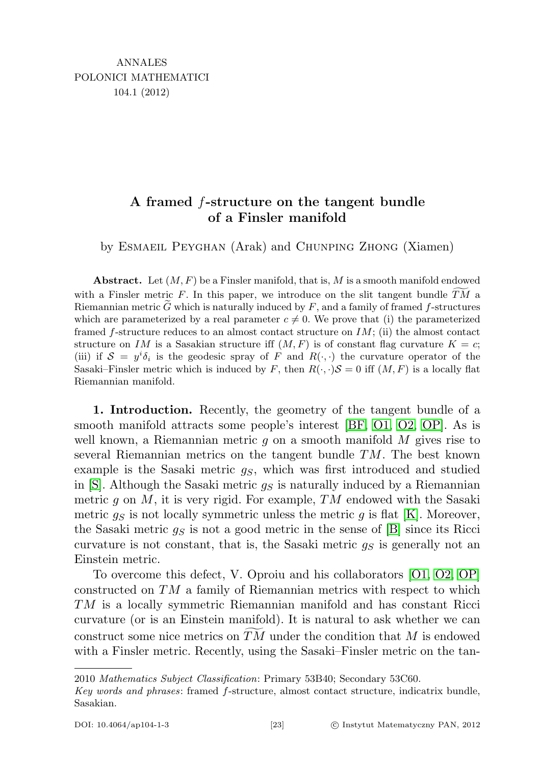## A framed f-structure on the tangent bundle of a Finsler manifold

by Esmaeil Peyghan (Arak) and Chunping Zhong (Xiamen)

Abstract. Let  $(M, F)$  be a Finsler manifold, that is, M is a smooth manifold endowed with a Finsler metric F. In this paper, we introduce on the slit tangent bundle  $TM$  a Riemannian metric  $\tilde{G}$  which is naturally induced by F, and a family of framed f-structures which are parameterized by a real parameter  $c \neq 0$ . We prove that (i) the parameterized framed  $f$ -structure reduces to an almost contact structure on  $IM$ ; (ii) the almost contact structure on IM is a Sasakian structure iff  $(M, F)$  is of constant flag curvature  $K = c$ ; (iii) if  $S = y^i \delta_i$  is the geodesic spray of F and  $R(\cdot, \cdot)$  the curvature operator of the Sasaki–Finsler metric which is induced by F, then  $R(\cdot, \cdot)S = 0$  iff  $(M, F)$  is a locally flat Riemannian manifold.

1. Introduction. Recently, the geometry of the tangent bundle of a smooth manifold attracts some people's interest [\[BF,](#page-17-0) [O1,](#page-18-0) [O2,](#page-18-1) [OP\]](#page-18-2). As is well known, a Riemannian metric  $g$  on a smooth manifold  $M$  gives rise to several Riemannian metrics on the tangent bundle  $TM$ . The best known example is the Sasaki metric  $q<sub>S</sub>$ , which was first introduced and studied in  $[S]$ . Although the Sasaki metric  $q_S$  is naturally induced by a Riemannian metric  $q$  on  $M$ , it is very rigid. For example,  $TM$  endowed with the Sasaki metric  $g<sub>S</sub>$  is not locally symmetric unless the metric g is flat [\[K\]](#page-17-1). Moreover, the Sasaki metric  $g_S$  is not a good metric in the sense of [\[B\]](#page-17-2) since its Ricci curvature is not constant, that is, the Sasaki metric  $g<sub>S</sub>$  is generally not an Einstein metric.

To overcome this defect, V. Oproiu and his collaborators [\[O1,](#page-18-0) [O2,](#page-18-1) [OP\]](#page-18-2) constructed on TM a family of Riemannian metrics with respect to which TM is a locally symmetric Riemannian manifold and has constant Ricci curvature (or is an Einstein manifold). It is natural to ask whether we can construct some nice metrics on  $TM$  under the condition that M is endowed with a Finsler metric. Recently, using the Sasaki–Finsler metric on the tan-

<sup>2010</sup> Mathematics Subject Classification: Primary 53B40; Secondary 53C60.

Key words and phrases: framed f-structure, almost contact structure, indicatrix bundle, Sasakian.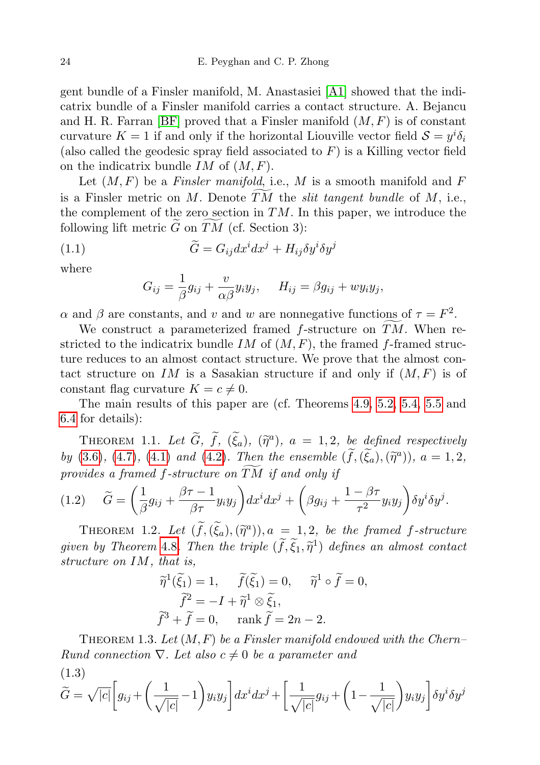gent bundle of a Finsler manifold, M. Anastasiei [\[A1\]](#page-17-3) showed that the indicatrix bundle of a Finsler manifold carries a contact structure. A. Bejancu and H. R. Farran [\[BF\]](#page-17-0) proved that a Finsler manifold  $(M, F)$  is of constant curvature  $K = 1$  if and only if the horizontal Liouville vector field  $S = y^i \delta_i$ (also called the geodesic spray field associated to  $F$ ) is a Killing vector field on the indicatrix bundle  $IM$  of  $(M, F)$ .

Let  $(M, F)$  be a Finsler manifold, i.e., M is a smooth manifold and F is a Finsler metric on M. Denote  $\overline{TM}$  the *slit tangent bundle* of M, i.e., the complement of the zero section in  $TM$ . In this paper, we introduce the following lift metric  $\tilde{G}$  on  $\tilde{TM}$  (cf. Section 3):

(1.1) 
$$
\widetilde{G} = G_{ij} dx^i dx^j + H_{ij} \delta y^i \delta y^j
$$

where

$$
G_{ij} = \frac{1}{\beta} g_{ij} + \frac{v}{\alpha \beta} y_i y_j, \quad H_{ij} = \beta g_{ij} + w y_i y_j,
$$

 $\alpha$  and  $\beta$  are constants, and v and w are nonnegative functions of  $\tau = F^2$ .

We construct a parameterized framed  $f$ -structure on  $TM$ . When restricted to the indicatrix bundle IM of  $(M, F)$ , the framed f-framed structure reduces to an almost contact structure. We prove that the almost contact structure on IM is a Sasakian structure if and only if  $(M, F)$  is of constant flag curvature  $K = c \neq 0$ .

The main results of this paper are (cf. Theorems [4.9,](#page-9-0) [5.2,](#page-11-0) [5.4,](#page-12-0) [5.5](#page-13-0) and [6.4](#page-17-4) for details):

THEOREM 1.1. Let  $\widetilde{G}$ ,  $\widetilde{f}$ ,  $(\widetilde{\xi}_a)$ ,  $(\widetilde{\eta}^a)$ ,  $a = 1, 2$ , be defined respectively by [\(3.6\)](#page-6-0), [\(4.7\)](#page-8-0), [\(4.1\)](#page-7-0) and [\(4.2\)](#page-7-1). Then the ensemble  $(\tilde{f},(\tilde{\xi}_a),(\tilde{\eta}^a))$ ,  $a=1,2$ , provides a framed  $f$ -structure on  $TM$  if and only if

<span id="page-1-0"></span>
$$
(1.2) \quad \widetilde{G} = \left(\frac{1}{\beta}g_{ij} + \frac{\beta\tau - 1}{\beta\tau}y_iy_j\right)dx^idx^j + \left(\beta g_{ij} + \frac{1 - \beta\tau}{\tau^2}y_iy_j\right)\delta y^i\delta y^j.
$$

THEOREM 1.2. Let  $(\tilde{f},(\tilde{\xi}_a),(\tilde{\eta}^a))$ ,  $a = 1, 2$ , be the framed f-structure given by Theorem [4.8](#page-8-1). Then the triple  $(\tilde{f}, \tilde{\xi}_1, \tilde{\eta}^1)$  defines an almost contact<br>contact experiments on IM, that is structure on IM, that is,

$$
\widetilde{\eta}^1(\widetilde{\xi}_1) = 1, \quad \widetilde{f}(\widetilde{\xi}_1) = 0, \quad \widetilde{\eta}^1 \circ \widetilde{f} = 0,
$$

$$
\widetilde{f}^2 = -I + \widetilde{\eta}^1 \otimes \widetilde{\xi}_1,
$$

$$
\widetilde{f}^3 + \widetilde{f} = 0, \quad \text{rank } \widetilde{f} = 2n - 2.
$$

THEOREM 1.3. Let  $(M, F)$  be a Finsler manifold endowed with the Chern– Rund connection  $\nabla$ . Let also  $c \neq 0$  be a parameter and  $(1.3)$ 

<span id="page-1-1"></span>
$$
\widetilde{G} = \sqrt{|c|} \left[ g_{ij} + \left( \frac{1}{\sqrt{|c|}} - 1 \right) y_i y_j \right] dx^i dx^j + \left[ \frac{1}{\sqrt{|c|}} g_{ij} + \left( 1 - \frac{1}{\sqrt{|c|}} \right) y_i y_j \right] \delta y^i \delta y^j
$$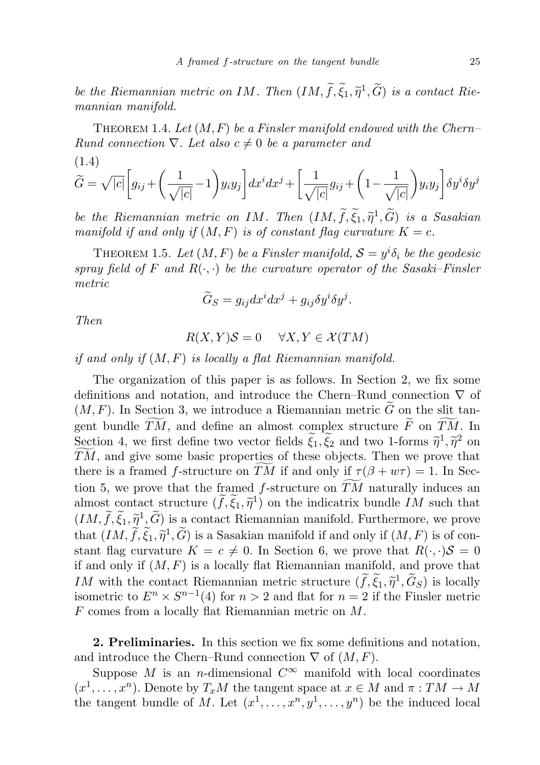be the Riemannian metric on IM. Then  $(IM, \tilde{f}, \tilde{\xi}_1, \tilde{\eta}^1, \tilde{G})$  is a contact Riemannian manifold mannian manifold.

THEOREM 1.4. Let  $(M, F)$  be a Finsler manifold endowed with the Chern– Rund connection  $\nabla$ . Let also  $c \neq 0$  be a parameter and (1.4)

$$
\widetilde{G} = \sqrt{|c|} \left[ g_{ij} + \left( \frac{1}{\sqrt{|c|}} - 1 \right) y_i y_j \right] dx^i dx^j + \left[ \frac{1}{\sqrt{|c|}} g_{ij} + \left( 1 - \frac{1}{\sqrt{|c|}} \right) y_i y_j \right] \delta y^i \delta y^j
$$

be the Riemannian metric on IM. Then  $(IM, \tilde{f}, \tilde{\xi}_1, \tilde{\eta}^1, \tilde{G})$  is a Sasakian<br>menifold if and only if  $(M, F)$  is at constant flag cyrusture  $K - c$ manifold if and only if  $(M, F)$  is of constant flag curvature  $K = c$ .

THEOREM 1.5. Let  $(M, F)$  be a Finsler manifold,  $S = y<sup>i</sup> \delta<sub>i</sub>$  be the geodesic spray field of F and  $R(\cdot, \cdot)$  be the curvature operator of the Sasaki–Finsler metric

$$
\widetilde{G}_S = g_{ij} dx^i dx^j + g_{ij} \delta y^i \delta y^j.
$$

Then

$$
R(X, Y)S = 0 \quad \forall X, Y \in \mathcal{X}(TM)
$$

if and only if  $(M, F)$  is locally a flat Riemannian manifold.

The organization of this paper is as follows. In Section 2, we fix some definitions and notation, and introduce the Chern–Rund connection  $\nabla$  of  $(M, F)$ . In Section 3, we introduce a Riemannian metric  $\tilde{G}$  on the slit tangent bundle  $\widetilde{TM}$ , and define an almost complex structure  $\widetilde{F}$  on  $\widetilde{TM}$ . In Section 4, we first define two vector fields  $\tilde{\xi}_1, \tilde{\xi}_2$  and two 1-forms  $\tilde{\eta}^1, \tilde{\eta}^2$  on  $\tilde{\mathcal{I}}_M$  and give some basic properties of these objects. Then we prove that  $TM$ , and give some basic properties of these objects. Then we prove that there is a framed f-structure on TM if and only if  $\tau (\beta + w\tau ) = 1$ . In Section 5, we prove that the framed  $f$ -structure on  $TM$  naturally induces an almost contact structure  $(\tilde{f}, \tilde{\xi}_1, \tilde{\eta}^1)$  on the indicatrix bundle IM such that  $(IM, \tilde{f}, \tilde{\xi}_1, \tilde{\eta}^1, \tilde{G})$  is a contact Riemannian manifold. Furthermore, we prove that  $(IM, \tilde{f}, \tilde{\xi}_1, \tilde{\eta}^1, \tilde{G})$  is a Sasakian manifold if and only if  $(M, F)$  is of con-<br>stant flag curvature  $K = e \neq 0$ . In Section 6, we prove that  $R(\cdot, \cdot)S = 0$ stant flag curvature  $K = c \neq 0$ . In Section 6, we prove that  $R(\cdot, \cdot)S = 0$ if and only if  $(M, F)$  is a locally flat Riemannian manifold, and prove that IM with the contact Riemannian metric structure  $(\tilde{f}, \tilde{\xi}_1, \tilde{\eta}^1, \tilde{G}_S)$  is locally<br>isometric to  $F^n \times S^{n-1}(A)$  for  $n > 2$  and flat for  $n = 2$  if the Finsler metric isometric to  $E^n \times S^{n-1}(4)$  for  $n > 2$  and flat for  $n = 2$  if the Finsler metric F comes from a locally flat Riemannian metric on M.

2. Preliminaries. In this section we fix some definitions and notation, and introduce the Chern–Rund connection  $\nabla$  of  $(M, F)$ .

Suppose M is an n-dimensional  $C^{\infty}$  manifold with local coordinates  $(x^1, \ldots, x^n)$ . Denote by  $T_xM$  the tangent space at  $x \in M$  and  $\pi : TM \to M$ the tangent bundle of M. Let  $(x^1, \ldots, x^n, y^1, \ldots, y^n)$  be the induced local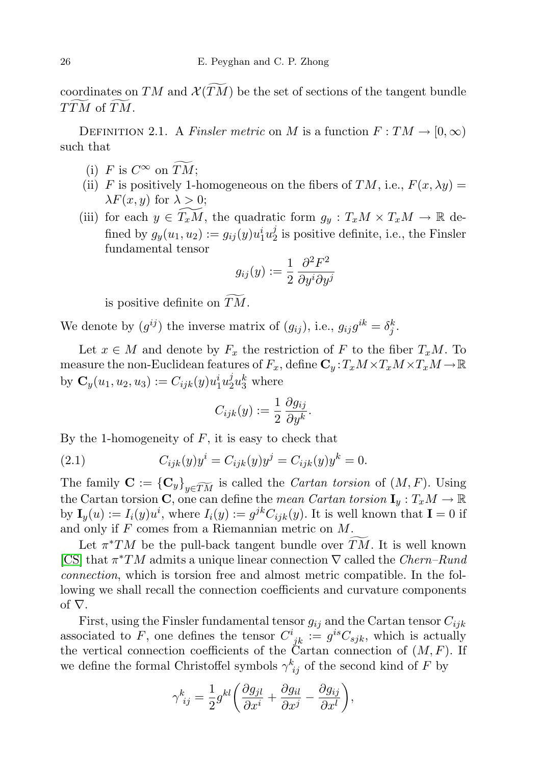coordinates on TM and  $\mathcal{X}(TM)$  be the set of sections of the tangent bundle TTM of TM.

DEFINITION 2.1. A Finsler metric on M is a function  $F: TM \to [0, \infty)$ such that

- (i) F is  $C^{\infty}$  on  $\widetilde{TM}$ ;
- (ii) F is positively 1-homogeneous on the fibers of TM, i.e.,  $F(x, \lambda y) =$  $\lambda F(x, y)$  for  $\lambda > 0$ ;
- (iii) for each  $y \in \widetilde{T_xM}$ , the quadratic form  $g_y : T_xM \times T_xM \to \mathbb{R}$  defined by  $g_y(u_1, u_2) := g_{ij}(y)u_1^i u_2^j$  $\frac{J}{2}$  is positive definite, i.e., the Finsler fundamental tensor

$$
g_{ij}(y) := \frac{1}{2} \frac{\partial^2 F^2}{\partial y^i \partial y^j}
$$

is positive definite on  $\widetilde{TM}$ .

We denote by  $(g^{ij})$  the inverse matrix of  $(g_{ij})$ , i.e.,  $g_{ij}g^{ik} = \delta_j^k$ .

Let  $x \in M$  and denote by  $F_x$  the restriction of F to the fiber  $T_xM$ . To measure the non-Euclidean features of  $F_x$ , define  $\mathbf{C}_y : T_xM \times T_xM \times T_xM \to \mathbb{R}$ by  $\mathbf{C}_y(u_1, u_2, u_3) := C_{ijk}(y)u_1^i u_2^j$  $\frac{j}{2}u_3^k$  where

$$
C_{ijk}(y) := \frac{1}{2} \frac{\partial g_{ij}}{\partial y^k}.
$$

By the 1-homogeneity of  $F$ , it is easy to check that

(2.1) 
$$
C_{ijk}(y)y^{i} = C_{ijk}(y)y^{j} = C_{ijk}(y)y^{k} = 0.
$$

The family  $\mathbf{C} := {\{\mathbf{C}_y\}}_{y \in TM}$  is called the *Cartan torsion* of  $(M, F)$ . Using the Cartan torsion C, one can define the mean Cartan torsion  $I_y: T_xM \to \mathbb{R}$ by  $I_y(u) := I_i(y)u^i$ , where  $I_i(y) := g^{jk}C_{ijk}(y)$ . It is well known that  $I = 0$  if and only if F comes from a Riemannian metric on M.

Let  $\pi^*TM$  be the pull-back tangent bundle over  $\widetilde{TM}$ . It is well known [\[CS\]](#page-17-5) that  $\pi^*TM$  admits a unique linear connection  $\nabla$  called the *Chern–Rund* connection, which is torsion free and almost metric compatible. In the following we shall recall the connection coefficients and curvature components of  $\nabla$ .

First, using the Finsler fundamental tensor  $g_{ij}$  and the Cartan tensor  $C_{ijk}$ associated to F, one defines the tensor  $C^i_{jk} := g^{is}C_{sjk}$ , which is actually the vertical connection coefficients of the Cartan connection of  $(M, F)$ . If we define the formal Christoffel symbols  $\gamma_{ij}^k$  of the second kind of F by

$$
\gamma_{ij}^k = \frac{1}{2} g^{kl} \left( \frac{\partial g_{jl}}{\partial x^i} + \frac{\partial g_{il}}{\partial x^j} - \frac{\partial g_{ij}}{\partial x^l} \right),\,
$$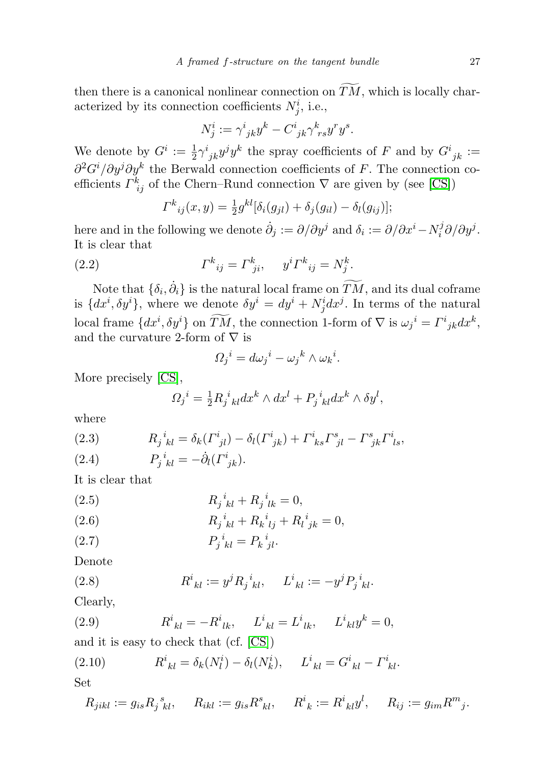then there is a canonical nonlinear connection on  $T\tilde{M}$ , which is locally characterized by its connection coefficients  $N_j^i$ , i.e.,

$$
N_j^i := \gamma^i_{\ jk} y^k - C^i_{\ jk} \gamma^k_{\ rs} y^r y^s.
$$

We denote by  $G^i := \frac{1}{2} \gamma^i_{jk} y^j y^k$  the spray coefficients of F and by  $G^i_{jk} :=$  $\partial^2 G^i/\partial y^j \partial y^k$  the Berwald connection coefficients of F. The connection coefficients  $\Gamma^k_{ij}$  of the Chern–Rund connection  $\nabla$  are given by (see [\[CS\]](#page-17-5))

$$
\Gamma^{k}_{ij}(x,y) = \frac{1}{2}g^{kl}[\delta_i(g_{jl}) + \delta_j(g_{il}) - \delta_l(g_{ij})];
$$

here and in the following we denote  $\dot{\partial}_j := \partial/\partial y^j$  and  $\delta_i := \partial/\partial x^i - N_i^j$  $\partial_i^j \partial/\partial y^j.$ It is clear that

(2.2) 
$$
\Gamma^{k}_{\ ij} = \Gamma^{k}_{\ ji}, \quad y^{i} \Gamma^{k}_{\ ij} = N^{k}_{j}.
$$

Note that  $\{\delta_i, \dot{\partial}_i\}$  is the natural local frame on  $\widetilde{TM}$ , and its dual coframe is  $\{dx^i, \delta y^i\}$ , where we denote  $\delta y^i = dy^i + N_j^i dx^j$ . In terms of the natural local frame  $\{dx^i, \delta y^i\}$  on  $\overline{TM}$ , the connection 1-form of  $\nabla$  is  $\omega_j{}^i = \Gamma^i{}_{jk} dx^k$ , and the curvature 2-form of  $\nabla$  is

$$
\Omega_j{}^i = d\omega_j{}^i - \omega_j{}^k \wedge \omega_k{}^i.
$$

More precisely [\[CS\]](#page-17-5),

$$
\Omega_j^i = \frac{1}{2} R_j^i{}_{kl} dx^k \wedge dx^l + P_j^i{}_{kl} dx^k \wedge \delta y^l,
$$

where

(2.3) 
$$
R_j{}^i{}_{kl} = \delta_k (I^i{}_{jl}) - \delta_l (I^i{}_{jk}) + I^i{}_{ks} I^s{}_{jl} - I^s{}_{jk} I^i{}_{ls},
$$

(2.4) 
$$
P_j^i{}_{kl} = -\dot{\partial}_l (\Gamma^i{}_{jk}).
$$

It is clear that

(2.5) 
$$
R_j{}^i{}_{kl} + R_j{}^i{}_{lk} = 0,
$$

(2.6) 
$$
R_j{}^i{}_{kl} + R_k{}^i{}_{lj} + R_l{}^i{}_{jk} = 0,
$$

$$
(2.7) \t\t\t P_j^i{}_{kl} = P_k^i{}_{jl}.
$$

Denote

(2.8) 
$$
R^i_{\ kl} := y^j R_j^{\ i}_{\ kl}, \quad L^i_{\ kl} := -y^j P_j^{\ i}_{\ kl}.
$$

Clearly,

(2.9) 
$$
R^i_{\ kl} = -R^i_{\ lk}, \qquad L^i_{\ kl} = L^i_{\ lk}, \qquad L^i_{\ kl} y^k = 0,
$$

and it is easy to check that (cf. [\[CS\]](#page-17-5))

(2.10) 
$$
R^{i}_{\;kl} = \delta_k(N_l^{i}) - \delta_l(N_k^{i}), \quad L^{i}_{\;kl} = G^{i}_{\;kl} - \Gamma^{i}_{\;kl}.
$$

Set

$$
R_{jikl} := g_{is} R_{j\;kl}^{\;s}, \quad R_{ikl} := g_{is} R_{\;kl}^s, \quad R_{\;k}^i := R_{\;kl}^i y^l, \quad R_{ij} := g_{im} R_{\;j}^m.
$$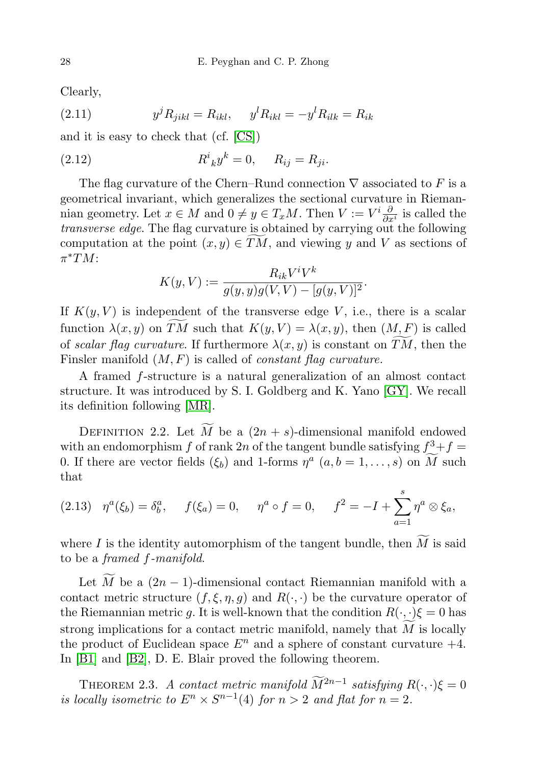Clearly,

(2.11) 
$$
y^{j} R_{jikl} = R_{ikl}, \quad y^{l} R_{ikl} = -y^{l} R_{ilk} = R_{ik}
$$

and it is easy to check that (cf. [\[CS\]](#page-17-5))

(2.12) 
$$
R^{i}_{\ k}y^{k} = 0, \quad R_{ij} = R_{ji}.
$$

The flag curvature of the Chern–Rund connection  $\nabla$  associated to F is a geometrical invariant, which generalizes the sectional curvature in Riemannian geometry. Let  $x \in M$  and  $0 \neq y \in T_xM$ . Then  $V := V^i \frac{\partial}{\partial x^i}$  is called the transverse edge. The flag curvature is obtained by carrying out the following computation at the point  $(x, y) \in TM$ , and viewing y and V as sections of  $\pi^*TM$ :

$$
K(y, V) := \frac{R_{ik}V^{i}V^{k}}{g(y, y)g(V, V) - [g(y, V)]^{2}}.
$$

If  $K(y, V)$  is independent of the transverse edge V, i.e., there is a scalar function  $\lambda(x, y)$  on TM such that  $K(y, V) = \lambda(x, y)$ , then  $(M, F)$  is called of scalar flag curvature. If furthermore  $\lambda(x, y)$  is constant on TM, then the Finsler manifold  $(M, F)$  is called of *constant flag curvature*.

A framed f-structure is a natural generalization of an almost contact structure. It was introduced by S. I. Goldberg and K. Yano [\[GY\]](#page-17-6). We recall its definition following [\[MR\]](#page-17-7).

DEFINITION 2.2. Let  $\widetilde{M}$  be a  $(2n + s)$ -dimensional manifold endowed with an endomorphism f of rank 2n of the tangent bundle satisfying  $f^3 + f =$ 0. If there are vector fields  $(\xi_b)$  and 1-forms  $\eta^a$   $(a, b = 1, \ldots, s)$  on  $\widetilde{M}$  such that

$$
(2.13) \quad \eta^a(\xi_b) = \delta_b^a, \qquad f(\xi_a) = 0, \qquad \eta^a \circ f = 0, \qquad f^2 = -I + \sum_{a=1}^s \eta^a \otimes \xi_a,
$$

where I is the identity automorphism of the tangent bundle, then  $\widetilde{M}$  is said to be a framed f-manifold.

Let  $\overline{M}$  be a  $(2n - 1)$ -dimensional contact Riemannian manifold with a contact metric structure  $(f, \xi, \eta, g)$  and  $R(\cdot, \cdot)$  be the curvature operator of the Riemannian metric g. It is well-known that the condition  $R(\cdot, \cdot)\xi = 0$  has strong implications for a contact metric manifold, namely that  $M$  is locally the product of Euclidean space  $E^n$  and a sphere of constant curvature  $+4$ . In [\[B1\]](#page-17-8) and [\[B2\]](#page-17-9), D. E. Blair proved the following theorem.

<span id="page-5-0"></span>THEOREM 2.3. A contact metric manifold  $\widetilde{M}^{2n-1}$  satisfying  $R(\cdot, \cdot)\xi = 0$ is locally isometric to  $E^n \times S^{n-1}(4)$  for  $n > 2$  and flat for  $n = 2$ .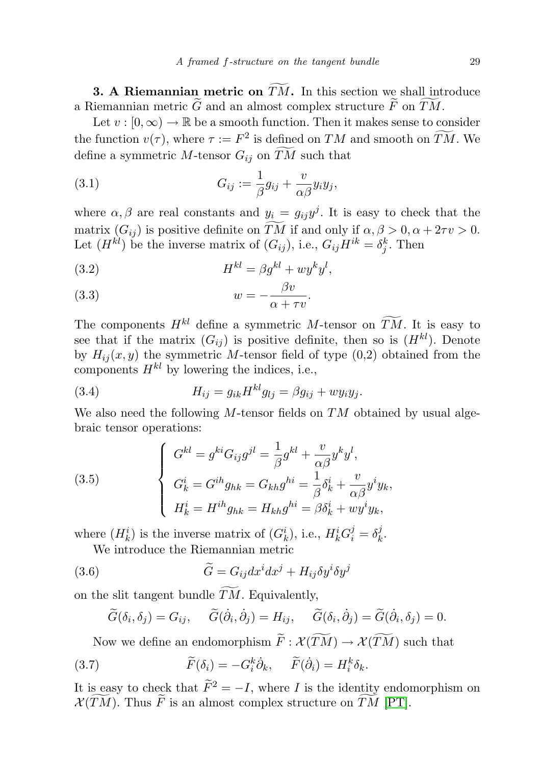**3. A Riemannian metric on**  $\overline{TM}$ . In this section we shall introduce a Riemannian metric  $\tilde{G}$  and an almost complex structure  $\tilde{F}$  on  $\tilde{TM}$ .

Let  $v : [0, \infty) \to \mathbb{R}$  be a smooth function. Then it makes sense to consider the function  $v(\tau)$ , where  $\tau := F^2$  is defined on TM and smooth on TM. We define a symmetric M-tensor  $G_{ij}$  on  $\widetilde{TM}$  such that

<span id="page-6-3"></span>(3.1) 
$$
G_{ij} := \frac{1}{\beta} g_{ij} + \frac{v}{\alpha \beta} y_i y_j,
$$

where  $\alpha, \beta$  are real constants and  $y_i = g_{ij}y^j$ . It is easy to check that the matrix  $(G_{ij})$  is positive definite on  $\widetilde{TM}$  if and only if  $\alpha, \beta > 0, \alpha + 2\tau v > 0$ . Let  $(H^{kl})$  be the inverse matrix of  $(G_{ij})$ , i.e.,  $G_{ij}H^{ik} = \delta_j^k$ . Then

(3.2) 
$$
H^{kl} = \beta g^{kl} + w y^k y^l,
$$

<span id="page-6-2"></span>(3.3) 
$$
w = -\frac{\beta v}{\alpha + \tau v}.
$$

The components  $H^{kl}$  define a symmetric M-tensor on  $\widetilde{TM}$ . It is easy to see that if the matrix  $(G_{ij})$  is positive definite, then so is  $(H^{kl})$ . Denote by  $H_{ij}(x, y)$  the symmetric M-tensor field of type  $(0,2)$  obtained from the components  $H^{kl}$  by lowering the indices, i.e.,

<span id="page-6-4"></span>(3.4) 
$$
H_{ij} = g_{ik} H^{kl} g_{lj} = \beta g_{ij} + w y_i y_j.
$$

We also need the following  $M$ -tensor fields on  $TM$  obtained by usual algebraic tensor operations:

(3.5) 
$$
\begin{cases}\nG^{kl} = g^{ki} G_{ij} g^{jl} = \frac{1}{\beta} g^{kl} + \frac{v}{\alpha \beta} y^k y^l, \\
G^i_k = G^{ih} g_{hk} = G_{kh} g^{hi} = \frac{1}{\beta} \delta^i_k + \frac{v}{\alpha \beta} y^i y_k, \\
H^i_k = H^{ih} g_{hk} = H_{kh} g^{hi} = \beta \delta^i_k + w y^i y_k,\n\end{cases}
$$

where  $(H_k^i)$  is the inverse matrix of  $(G_k^i)$ , i.e.,  $H_k^i G_i^j = \delta_k^j$  $k$ .

We introduce the Riemannian metric

(3.6) 
$$
\widetilde{G} = G_{ij} dx^{i} dx^{j} + H_{ij} \delta y^{i} \delta y^{j}
$$

on the slit tangent bundle  $\overline{TM}$ . Equivalently,

<span id="page-6-1"></span><span id="page-6-0"></span>
$$
\widetilde{G}(\delta_i,\delta_j)=G_{ij},\quad \widetilde{G}(\dot{\partial}_i,\dot{\partial}_j)=H_{ij},\quad \widetilde{G}(\delta_i,\dot{\partial}_j)=\widetilde{G}(\dot{\partial}_i,\delta_j)=0.
$$

Now we define an endomorphism  $\widetilde{F}: \mathcal{X}(\widetilde{TM}) \to \mathcal{X}(\widetilde{TM})$  such that

(3.7) 
$$
\widetilde{F}(\delta_i) = -G_i^k \dot{\partial}_k, \quad \widetilde{F}(\dot{\partial}_i) = H_i^k \delta_k.
$$

It is easy to check that  $\widetilde{F}^2 = -I$ , where I is the identity endomorphism on  $\mathcal{X}(\widetilde{TM})$ . Thus  $\widetilde{F}$  is an almost complex structure on  $\widetilde{TM}$  [\[PT\]](#page-18-4).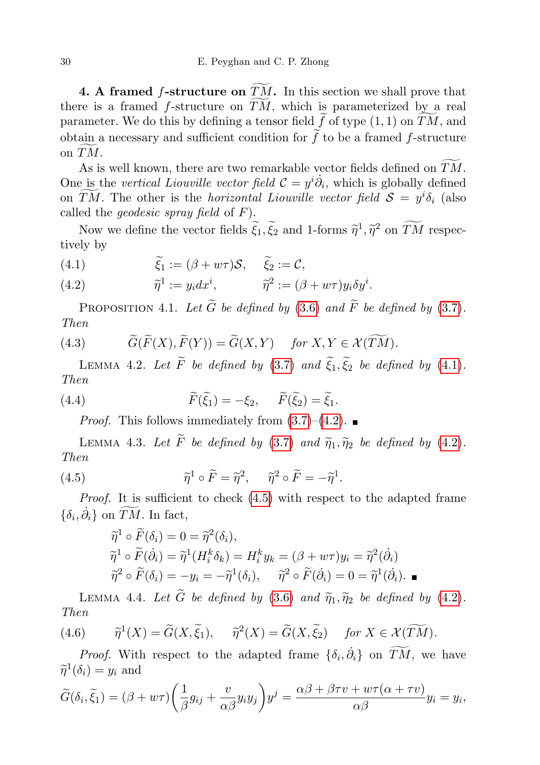4. A framed f-structure on  $TM$ . In this section we shall prove that there is a framed  $f$ -structure on  $TM$ , which is parameterized by a real parameter. We do this by defining a tensor field  $\tilde{f}$  of type (1, 1) on  $\tilde{T}\tilde{M}$ , and obtain a necessary and sufficient condition for  $\tilde{f}$  to be a framed f-structure on  $TM$ .

As is well known, there are two remarkable vector fields defined on  $TM$ . One is the vertical Liouville vector field  $\mathcal{C} = y^i \dot{\partial}_i$ , which is globally defined on  $\overline{TM}$ . The other is the *horizontal Liouville vector field*  $S = y^i \delta_i$  (also called the *geodesic spray field* of  $F$ ).

Now we define the vector fields  $\tilde{\xi}_1, \tilde{\xi}_2$  and 1-forms  $\tilde{\eta}^1, \tilde{\eta}^2$  on  $\tilde{T}\tilde{M}$  respectively tively by

<span id="page-7-0"></span>(4.1) 
$$
\widetilde{\xi}_1 := (\beta + w\tau)S, \quad \widetilde{\xi}_2 := C,
$$

<span id="page-7-1"></span>(4.2) 
$$
\widetilde{\eta}^1 := y_i dx^i, \qquad \widetilde{\eta}^2 := (\beta + w\tau) y_i \delta y^i.
$$

PROPOSITION 4.1. Let  $\widetilde{G}$  be defined by [\(3.6\)](#page-6-0) and  $\widetilde{F}$  be defined by [\(3.7\)](#page-6-1). Then

(4.3) 
$$
\widetilde{G}(\widetilde{F}(X),\widetilde{F}(Y))=\widetilde{G}(X,Y) \quad \text{for } X,Y \in \mathcal{X}(\widetilde{TM}).
$$

<span id="page-7-3"></span>LEMMA 4.2. Let  $\widetilde{F}$  be defined by [\(3.7\)](#page-6-1) and  $\widetilde{\xi}_1, \widetilde{\xi}_2$  be defined by [\(4.1\)](#page-7-0). Then

(4.4) 
$$
\widetilde{F}(\widetilde{\xi}_1) = -\xi_2, \quad \widetilde{F}(\widetilde{\xi}_2) = \widetilde{\xi}_1.
$$

*Proof.* This follows immediately from  $(3.7)$ – $(4.2)$ .

<span id="page-7-4"></span>LEMMA 4.3. Let  $\widetilde{F}$  be defined by [\(3.7\)](#page-6-1) and  $\widetilde{\eta}_1, \widetilde{\eta}_2$  be defined by [\(4.2\)](#page-7-1). Then

(4.5) 
$$
\widetilde{\eta}^1 \circ \widetilde{F} = \widetilde{\eta}^2, \quad \widetilde{\eta}^2 \circ \widetilde{F} = -\widetilde{\eta}^1.
$$

Proof. It is sufficient to check [\(4.5\)](#page-7-2) with respect to the adapted frame  $\{\delta_i, \dot{\partial}_i\}$  on  $\widetilde{TM}$ . In fact,

<span id="page-7-2"></span>
$$
\widetilde{\eta}^1 \circ \widetilde{F}(\delta_i) = 0 = \widetilde{\eta}^2(\delta_i), \n\widetilde{\eta}^1 \circ \widetilde{F}(\dot{\partial}_i) = \widetilde{\eta}^1(H_i^k \delta_k) = H_i^k y_k = (\beta + w\tau)y_i = \widetilde{\eta}^2(\dot{\partial}_i) \n\widetilde{\eta}^2 \circ \widetilde{F}(\delta_i) = -y_i = -\widetilde{\eta}^1(\delta_i), \quad \widetilde{\eta}^2 \circ \widetilde{F}(\dot{\partial}_i) = 0 = \widetilde{\eta}^1(\dot{\partial}_i).
$$

<span id="page-7-5"></span>LEMMA 4.4. Let  $\widetilde{G}$  be defined by [\(3.6\)](#page-6-0) and  $\widetilde{\eta}_1, \widetilde{\eta}_2$  be defined by [\(4.2\)](#page-7-1). Then

(4.6) 
$$
\widetilde{\eta}^1(X) = \widetilde{G}(X, \widetilde{\xi}_1), \quad \widetilde{\eta}^2(X) = \widetilde{G}(X, \widetilde{\xi}_2) \quad \text{for } X \in \mathcal{X}(\widetilde{TM}).
$$

*Proof.* With respect to the adapted frame  $\{\delta_i, \dot{\partial}_i\}$  on  $\widetilde{TM}$ , we have  $\widetilde{\eta}^1(\delta_i) = y_i$  and

$$
\widetilde{G}(\delta_i,\widetilde{\xi}_1)=(\beta+w\tau)\bigg(\frac{1}{\beta}g_{ij}+\frac{v}{\alpha\beta}y_iy_j\bigg)y^j=\frac{\alpha\beta+\beta\tau v+w\tau(\alpha+\tau v)}{\alpha\beta}y_i=y_i,
$$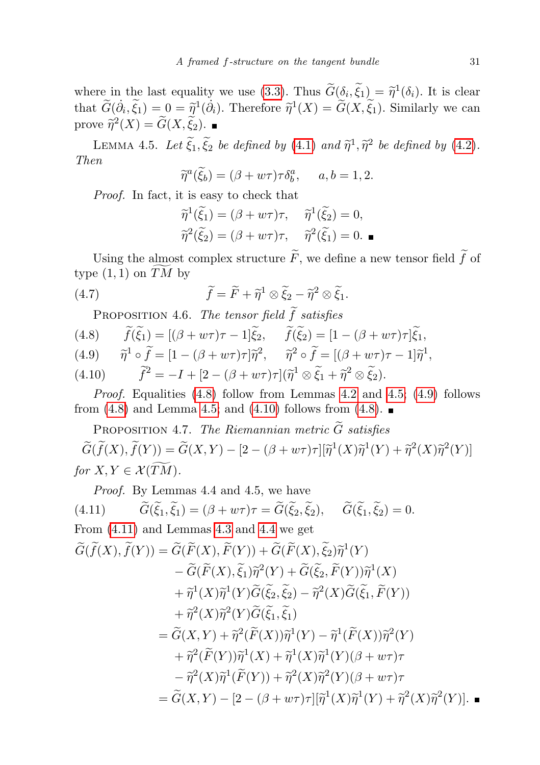where in the last equality we use [\(3.3\)](#page-6-2). Thus  $\tilde{G}(\delta_i, \tilde{\xi}_1) = \tilde{\eta}^1(\delta_i)$ . It is clear that  $\widetilde{G}(\dot{\partial}_i, \widetilde{\xi}_1) = 0 = \widetilde{\eta}^1(\dot{\partial}_i)$ . Therefore  $\widetilde{\eta}^1(X) = \widetilde{G}(X, \widetilde{\xi}_1)$ . Similarly we can prove  $\widetilde{\eta}^2(X) = \widetilde{G}(X, \widetilde{\xi}_2).$ 

<span id="page-8-3"></span>LEMMA 4.5. Let  $\widetilde{\xi}_1, \widetilde{\xi}_2$  be defined by [\(4.1\)](#page-7-0) and  $\widetilde{\eta}^1, \widetilde{\eta}^2$  be defined by [\(4.2\)](#page-7-1). Then

$$
\widetilde{\eta}^a(\widetilde{\xi}_b) = (\beta + w\tau)\tau \delta_b^a, \qquad a, b = 1, 2.
$$

Proof. In fact, it is easy to check that

<span id="page-8-0"></span>
$$
\widetilde{\eta}^{1}(\widetilde{\xi}_{1}) = (\beta + w\tau)\tau, \quad \widetilde{\eta}^{1}(\widetilde{\xi}_{2}) = 0,
$$

$$
\widetilde{\eta}^{2}(\widetilde{\xi}_{2}) = (\beta + w\tau)\tau, \quad \widetilde{\eta}^{2}(\widetilde{\xi}_{1}) = 0.
$$

Using the almost complex structure  $F$ , we define a new tensor field  $f$  of type  $(1,1)$  on TM by

(4.7) 
$$
\widetilde{f} = \widetilde{F} + \widetilde{\eta}^1 \otimes \widetilde{\xi}_2 - \widetilde{\eta}^2 \otimes \widetilde{\xi}_1.
$$

<span id="page-8-2"></span>PROPOSITION 4.6. The tensor field f satisfies<br>(4.8)  $\widetilde{f}(\widetilde{\xi}_1) = [(\beta + w\tau)\tau - 1]\widetilde{\xi}_2, \quad \widetilde{f}(\widetilde{\xi}_2) = [1 - \tau]\widetilde{\xi}_2$ 

- $\widetilde{f}(\widetilde{\xi}_1) = [(\beta + w\tau)\tau 1]\widetilde{\xi}_2, \quad \widetilde{f}(\widetilde{\xi}_2) = [1 (\beta + w\tau)\tau]\widetilde{\xi}_1,$
- (4.9)  $\widetilde{\eta}^1 \circ \widetilde{f} = [1 (\beta + w\tau)\tau]\widetilde{\eta}^2$ ,  $\widetilde{\eta}^2 \circ \widetilde{f} = [(\beta + w\tau)\tau 1]\widetilde{\eta}^1$ ,
- (4.10)  $\tilde{f}^2 = -I + [2 (\beta + w\tau)\tau](\tilde{\eta}^1 \otimes \tilde{\xi}_1 + \tilde{\eta}^2 \otimes \tilde{\xi}_2).$

Proof. Equalities [\(4.8\)](#page-8-2) follow from Lemmas [4.2](#page-7-3) and [4.5;](#page-8-3) [\(4.9\)](#page-8-2) follows from [\(4.8\)](#page-8-2) and Lemma [4.5;](#page-8-3) and [\(4.10\)](#page-8-2) follows from (4.8).

<span id="page-8-5"></span>PROPOSITION 4.7. The Riemannian metric  $\widetilde{G}$  satisfies  $\widetilde{G}(\widetilde{f}(X),\widetilde{f}(Y))=\widetilde{G}(X,Y)-[2-(\beta+w\tau)\tau][\widetilde{\eta}^1(X)\widetilde{\eta}^1(Y)+\widetilde{\eta}^2(X)\widetilde{\eta}^2(Y)]$ for  $X, Y \in \mathcal{X}(\widetilde{TM})$ .

<span id="page-8-4"></span>Proof. By Lemmas 4.4 and 4.5, we have

(4.11) 
$$
\widetilde{G}(\widetilde{\xi}_1,\widetilde{\xi}_1)=(\beta+w\tau)\tau=\widetilde{G}(\widetilde{\xi}_2,\widetilde{\xi}_2), \quad \widetilde{G}(\widetilde{\xi}_1,\widetilde{\xi}_2)=0.
$$

<span id="page-8-1"></span>From (4.11) and Lemmas 4.3 and 4.4 we get  
\n
$$
\widetilde{G}(\widetilde{f}(X), \widetilde{f}(Y)) = \widetilde{G}(\widetilde{F}(X), \widetilde{F}(Y)) + \widetilde{G}(\widetilde{F}(X), \widetilde{\xi}_2) \widetilde{\eta}^1(Y)
$$
\n
$$
- \widetilde{G}(\widetilde{F}(X), \widetilde{\xi}_1) \widetilde{\eta}^2(Y) + \widetilde{G}(\widetilde{\xi}_2, \widetilde{F}(Y)) \widetilde{\eta}^1(X)
$$
\n
$$
+ \widetilde{\eta}^1(X) \widetilde{\eta}^1(Y) \widetilde{G}(\widetilde{\xi}_2, \widetilde{\xi}_2) - \widetilde{\eta}^2(X) \widetilde{G}(\widetilde{\xi}_1, \widetilde{F}(Y))
$$
\n
$$
+ \widetilde{\eta}^2(X) \widetilde{\eta}^2(Y) \widetilde{G}(\widetilde{\xi}_1, \widetilde{\xi}_1)
$$
\n
$$
= \widetilde{G}(X, Y) + \widetilde{\eta}^2(\widetilde{F}(X)) \widetilde{\eta}^1(Y) - \widetilde{\eta}^1(\widetilde{F}(X)) \widetilde{\eta}^2(Y)
$$
\n
$$
+ \widetilde{\eta}^2(\widetilde{F}(Y)) \widetilde{\eta}^1(X) + \widetilde{\eta}^1(X) \widetilde{\eta}^1(Y) (\beta + w\tau)\tau
$$
\n
$$
- \widetilde{\eta}^2(X) \widetilde{\eta}^1(\widetilde{F}(Y)) + \widetilde{\eta}^2(X) \widetilde{\eta}^2(Y) (\beta + w\tau)\tau
$$
\n
$$
= \widetilde{G}(X, Y) - [2 - (\beta + w\tau)\tau][\widetilde{\eta}^1(X) \widetilde{\eta}^1(Y) + \widetilde{\eta}^2(X) \widetilde{\eta}^2(Y)].
$$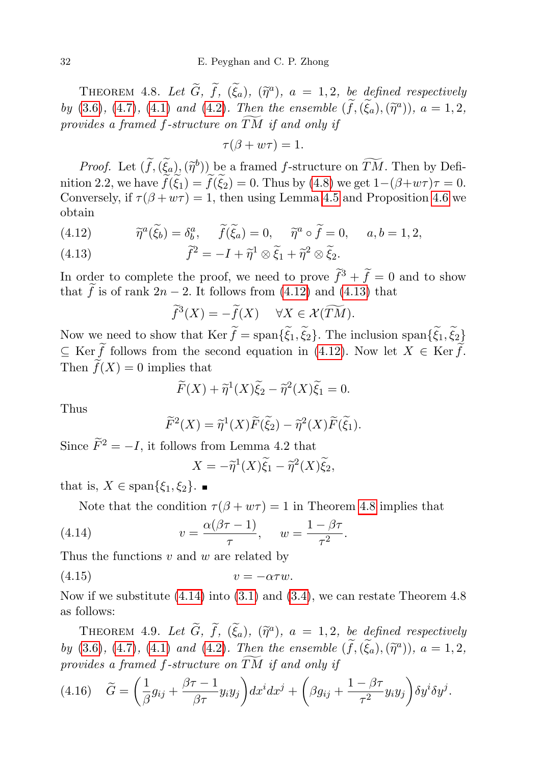THEOREM 4.8. Let  $\widetilde{G}$ ,  $\widetilde{f}$ ,  $(\widetilde{\xi}_a)$ ,  $(\widetilde{\eta}^a)$ ,  $a = 1, 2$ , be defined respectively by [\(3.6\)](#page-6-0), [\(4.7\)](#page-8-0), [\(4.1\)](#page-7-0) and [\(4.2\)](#page-7-1). Then the ensemble  $(\tilde{f},(\tilde{\xi}_a),(\tilde{\eta}^a))$ ,  $a=1,2$ , provides a framed f-structure on  $\overline{TM}$  if and only if

$$
\tau(\beta + w\tau) = 1.
$$

*Proof.* Let  $(\tilde{f},(\tilde{\xi}_a),(\tilde{\eta}^b))$  be a framed f-structure on  $\tilde{T}\tilde{M}$ . Then by Defi-<br>on 2.2 we have  $\tilde{f}(\tilde{\zeta})$   $\tilde{f}(\tilde{\zeta})$  = 0. Thus by (4.8) we get 1. (2.1 we) = -0. nition 2.2, we have  $\widetilde{f}(\widetilde{\xi}_1) = \widetilde{f}(\widetilde{\xi}_2) = 0$ . Thus by [\(4.8\)](#page-8-2) we get  $1-(\beta+w\tau)\tau = 0$ . Conversely, if  $\tau(\beta + w\tau) = 1$ , then using Lemma [4.5](#page-8-3) and Proposition [4.6](#page-8-2) we obtain

<span id="page-9-1"></span>(4.12)  $\widetilde{\eta}^a(\widetilde{\xi}_b) = \delta^a_b, \quad \widetilde{f}(\widetilde{\xi}_a) = 0, \quad \widetilde{\eta}^a \circ \widetilde{f} = 0, \quad a, b = 1, 2,$ 

<span id="page-9-2"></span>(4.13) 
$$
\widetilde{f}^2 = -I + \widetilde{\eta}^1 \otimes \widetilde{\xi}_1 + \widetilde{\eta}^2 \otimes \widetilde{\xi}_2.
$$

In order to complete the proof, we need to prove  $\tilde{f}^3 + \tilde{f} = 0$  and to show that  $\tilde{f}$  is of rank 2n − 2. It follows from [\(4.12\)](#page-9-1) and [\(4.13\)](#page-9-2) that

$$
\widetilde{f}^3(X) = -\widetilde{f}(X) \quad \forall X \in \mathcal{X}(\widetilde{TM}).
$$

Now we need to show that Ker  $f = \text{span}\{\xi_1, \xi_2\}$ . The inclusion  $\text{span}\{\xi_1, \xi_2\}$  $\subseteq$  Ker  $\tilde{f}$  follows from the second equation in [\(4.12\)](#page-9-1). Now let  $X \in \text{Ker } \tilde{f}$ . Then  $\widetilde{f}(X) = 0$  implies that

$$
\widetilde{F}(X) + \widetilde{\eta}^1(X)\widetilde{\xi}_2 - \widetilde{\eta}^2(X)\widetilde{\xi}_1 = 0.
$$

Thus

$$
\widetilde{F}^{2}(X) = \widetilde{\eta}^{1}(X)\widetilde{F}(\widetilde{\xi}_{2}) - \widetilde{\eta}^{2}(X)\widetilde{F}(\widetilde{\xi}_{1}).
$$

Since  $\widetilde{F}^2 = -I$ , it follows from Lemma 4.2 that

<span id="page-9-3"></span>
$$
X = -\tilde{\eta}^1(X)\tilde{\xi}_1 - \tilde{\eta}^2(X)\tilde{\xi}_2,
$$

that is,  $X \in \text{span}\{\xi_1, \xi_2\}$ .

Note that the condition  $\tau(\beta + w\tau) = 1$  in Theorem [4.8](#page-8-1) implies that

(4.14) 
$$
v = \frac{\alpha(\beta \tau - 1)}{\tau}, \quad w = \frac{1 - \beta \tau}{\tau^2}.
$$

Thus the functions  $v$  and  $w$  are related by

$$
(4.15) \t\t v = -\alpha \tau w.
$$

Now if we substitute  $(4.14)$  into  $(3.1)$  and  $(3.4)$ , we can restate Theorem 4.8 as follows:

<span id="page-9-0"></span>THEOREM 4.9. Let  $\widetilde{G}$ ,  $\widetilde{f}$ ,  $(\widetilde{\xi}_a)$ ,  $(\widetilde{\eta}^a)$ ,  $a = 1, 2$ , be defined respectively by [\(3.6\)](#page-6-0), [\(4.7\)](#page-8-0), [\(4.1\)](#page-7-0) and [\(4.2\)](#page-7-1). Then the ensemble  $(\tilde{f},(\tilde{\xi}_a),(\tilde{\eta}^a))$ ,  $a=1,2$ , provides a framed f-structure on  $\widetilde{TM}$  if and only if

<span id="page-9-4"></span>
$$
(4.16)\quad \widetilde{G} = \left(\frac{1}{\beta}g_{ij} + \frac{\beta\tau - 1}{\beta\tau}y_iy_j\right)dx^idx^j + \left(\beta g_{ij} + \frac{1 - \beta\tau}{\tau^2}y_iy_j\right)\delta y^i\delta y^j.
$$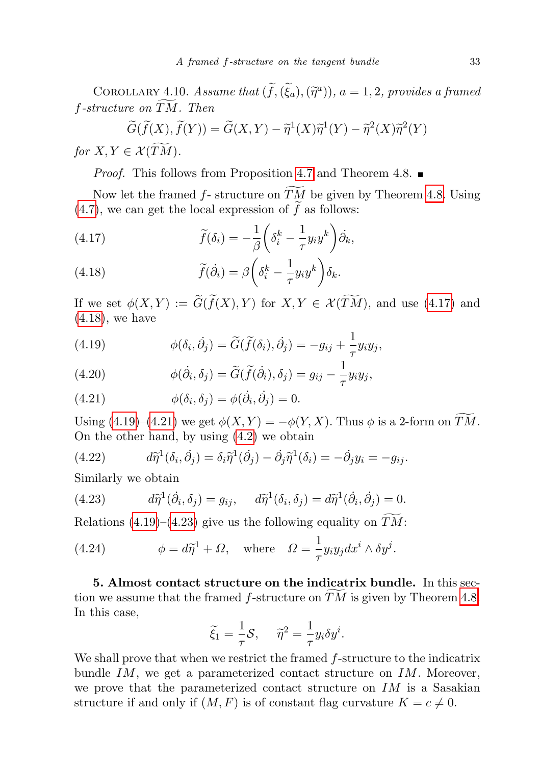COROLLARY 4.10. Assume that  $(\widetilde{f},(\widetilde{\xi}_a),(\widetilde{\eta}^a))$ ,  $a=1,2$ , provides a framed f-structure on  $\widetilde{TM}$ . Then<br> $\widetilde{G}(\widetilde{f}(X), \widetilde{f}(Y)) =$ 

$$
\widetilde{G}(\widetilde{f}(X),\widetilde{f}(Y)) = \widetilde{G}(X,Y) - \widetilde{\eta}^1(X)\widetilde{\eta}^1(Y) - \widetilde{\eta}^2(X)\widetilde{\eta}^2(Y)
$$

for  $X, Y \in \mathcal{X}(T\overline{M}).$ 

*Proof.* This follows from Proposition [4.7](#page-8-5) and Theorem 4.8.  $\blacksquare$ 

Now let the framed  $f$ - structure on  $TM$  be given by Theorem [4.8.](#page-8-1) Using [\(4.7\)](#page-8-0), we can get the local expression of  $\tilde{f}$  as follows:

(4.17) 
$$
\widetilde{f}(\delta_i) = -\frac{1}{\beta} \left( \delta_i^k - \frac{1}{\tau} y_i y^k \right) \dot{\partial}_k,
$$

(4.18) 
$$
\widetilde{f}(\dot{\partial}_i) = \beta \left(\delta_i^k - \frac{1}{\tau} y_i y^k\right) \delta_k.
$$

If we set  $\phi(X, Y) := \widetilde{G}(\widetilde{f}(X), Y)$  for  $X, Y \in \mathcal{X}(\widetilde{TM})$ , and use [\(4.17\)](#page-9-4) and [\(4.18\)](#page-9-4), we have

(4.19) 
$$
\phi(\delta_i, \dot{\partial}_j) = \widetilde{G}(\widetilde{f}(\delta_i), \dot{\partial}_j) = -g_{ij} + \frac{1}{\tau} y_i y_j,
$$

(4.20) 
$$
\phi(\dot{\partial}_i, \delta_j) = \widetilde{G}(\widetilde{f}(\dot{\partial}_i), \delta_j) = g_{ij} - \frac{1}{\tau} y_i y_j,
$$

(4.21) 
$$
\phi(\delta_i, \delta_j) = \phi(\dot{\partial}_i, \dot{\partial}_j) = 0.
$$

Using [\(4.19\)](#page-9-4)–[\(4.21\)](#page-9-4) we get  $\phi(X, Y) = -\phi(Y, X)$ . Thus  $\phi$  is a 2-form on  $\widetilde{TM}$ . On the other hand, by using [\(4.2\)](#page-7-1) we obtain

(4.22) 
$$
d\widetilde{\eta}^1(\delta_i, \dot{\partial}_j) = \delta_i \widetilde{\eta}^1(\dot{\partial}_j) - \dot{\partial}_j \widetilde{\eta}^1(\delta_i) = -\dot{\partial}_j y_i = -g_{ij}.
$$

Similarly we obtain

<span id="page-10-0"></span>(4.23) 
$$
d\tilde{\eta}^1(\dot{\partial}_i, \delta_j) = g_{ij}, \quad d\tilde{\eta}^1(\delta_i, \delta_j) = d\tilde{\eta}^1(\dot{\partial}_i, \dot{\partial}_j) = 0.
$$

Relations  $(4.19)$ – $(4.23)$  give us the following equality on TM:

<span id="page-10-1"></span>(4.24) 
$$
\phi = d\widetilde{\eta}^1 + \Omega, \text{ where } \Omega = \frac{1}{\tau} y_i y_j dx^i \wedge \delta y^j.
$$

5. Almost contact structure on the indicatrix bundle. In this section we assume that the framed  $f$ -structure on  $TM$  is given by Theorem [4.8.](#page-8-1) In this case,

$$
\widetilde{\xi}_1 = \frac{1}{\tau} \mathcal{S}, \quad \widetilde{\eta}^2 = \frac{1}{\tau} y_i \delta y^i.
$$

We shall prove that when we restrict the framed  $f$ -structure to the indicatrix bundle  $IM$ , we get a parameterized contact structure on  $IM$ . Moreover, we prove that the parameterized contact structure on  $IM$  is a Sasakian structure if and only if  $(M, F)$  is of constant flag curvature  $K = c \neq 0$ .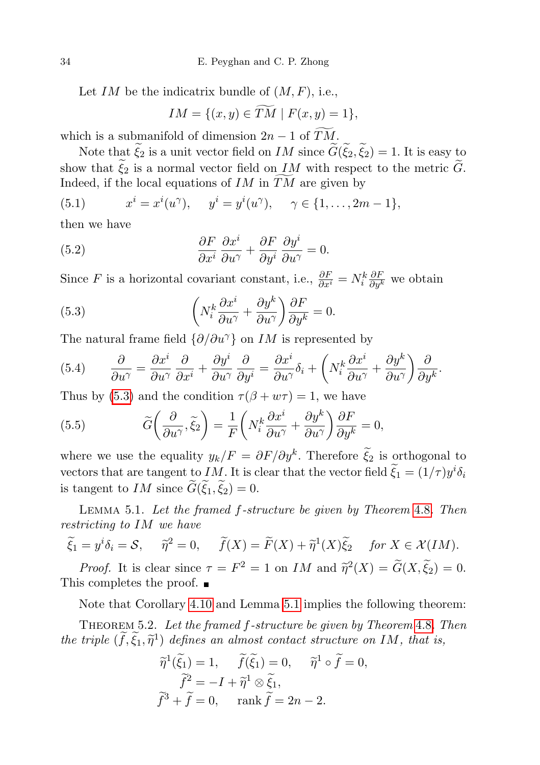Let  $IM$  be the indicatrix bundle of  $(M, F)$ , i.e.,

$$
IM = \{(x, y) \in \widetilde{TM} \mid F(x, y) = 1\},\
$$

which is a submanifold of dimension  $2n-1$  of  $\widetilde{TM}$ .

Note that  $\tilde{\xi}_2$  is a unit vector field on IM since  $\tilde{G}(\tilde{\xi}_2, \tilde{\xi}_2) = 1$ . It is easy to show that  $\widetilde{\xi}_2$  is a normal vector field on IM with respect to the metric  $\widetilde{G}$ . Indeed, if the local equations of  $IM$  in  $TM$  are given by

(5.1) 
$$
x^{i} = x^{i}(u^{\gamma}), \quad y^{i} = y^{i}(u^{\gamma}), \quad \gamma \in \{1, ..., 2m - 1\},\
$$

then we have

(5.2) 
$$
\frac{\partial F}{\partial x^i} \frac{\partial x^i}{\partial u^\gamma} + \frac{\partial F}{\partial y^i} \frac{\partial y^i}{\partial u^\gamma} = 0.
$$

Since F is a horizontal covariant constant, i.e.,  $\frac{\partial F}{\partial x^i} = N_i^k \frac{\partial F}{\partial y^k}$  we obtain

<span id="page-11-1"></span>(5.3) 
$$
\left(N_i^k \frac{\partial x^i}{\partial u^\gamma} + \frac{\partial y^k}{\partial u^\gamma}\right) \frac{\partial F}{\partial y^k} = 0.
$$

The natural frame field  $\{\partial/\partial u^{\gamma}\}\$  on IM is represented by

(5.4) 
$$
\frac{\partial}{\partial u^{\gamma}} = \frac{\partial x^{i}}{\partial u^{\gamma}} \frac{\partial}{\partial x^{i}} + \frac{\partial y^{i}}{\partial u^{\gamma}} \frac{\partial}{\partial y^{i}} = \frac{\partial x^{i}}{\partial u^{\gamma}} \delta_{i} + \left( N_{i}^{k} \frac{\partial x^{i}}{\partial u^{\gamma}} + \frac{\partial y^{k}}{\partial u^{\gamma}} \right) \frac{\partial}{\partial y^{k}}.
$$

Thus by [\(5.3\)](#page-11-1) and the condition  $\tau(\beta + w\tau) = 1$ , we have

(5.5) 
$$
\widetilde{G}\left(\frac{\partial}{\partial u^{\gamma}},\widetilde{\xi}_{2}\right)=\frac{1}{F}\left(N_{i}^{k}\frac{\partial x^{i}}{\partial u^{\gamma}}+\frac{\partial y^{k}}{\partial u^{\gamma}}\right)\frac{\partial F}{\partial y^{k}}=0,
$$

where we use the equality  $y_k/F = \partial F/\partial y^k$ . Therefore  $\tilde{\xi}_2$  is orthogonal to vectors that are tangent to IM. It is clear that the vector field  $\tilde{\xi}_1 = (1/\tau)y^i \delta_i$ is tangent to IM since  $\tilde{G}(\xi_1, \xi_2) = 0$ .

<span id="page-11-2"></span>Lemma 5.1. Let the framed f-structure be given by Theorem [4.8](#page-8-1). Then restricting to IM we have

$$
\widetilde{\xi}_1 = y^i \delta_i = \mathcal{S}, \quad \widetilde{\eta}^2 = 0, \quad \widetilde{f}(X) = \widetilde{F}(X) + \widetilde{\eta}^1(X) \widetilde{\xi}_2 \quad \text{for } X \in \mathcal{X}(IM).
$$

*Proof.* It is clear since  $\tau = F^2 = 1$  on *IM* and  $\tilde{\eta}^2(X) = \tilde{G}(X, \tilde{\xi}_2) = 0$ . This completes the proof. ■

Note that Corollary [4.10](#page-9-4) and Lemma [5.1](#page-11-2) implies the following theorem:

<span id="page-11-0"></span>Theorem 5.2. Let the framed f-structure be given by Theorem [4.8](#page-8-1). Then the triple  $(\tilde{f}, \tilde{\xi}_1, \tilde{\eta}^1)$  defines an almost contact structure on IM, that is,

$$
\widetilde{\eta}^1(\widetilde{\xi}_1) = 1, \quad \widetilde{f}(\widetilde{\xi}_1) = 0, \quad \widetilde{\eta}^1 \circ \widetilde{f} = 0,
$$

$$
\widetilde{f}^2 = -I + \widetilde{\eta}^1 \otimes \widetilde{\xi}_1,
$$

$$
\widetilde{f}^3 + \widetilde{f} = 0, \quad \text{rank } \widetilde{f} = 2n - 2.
$$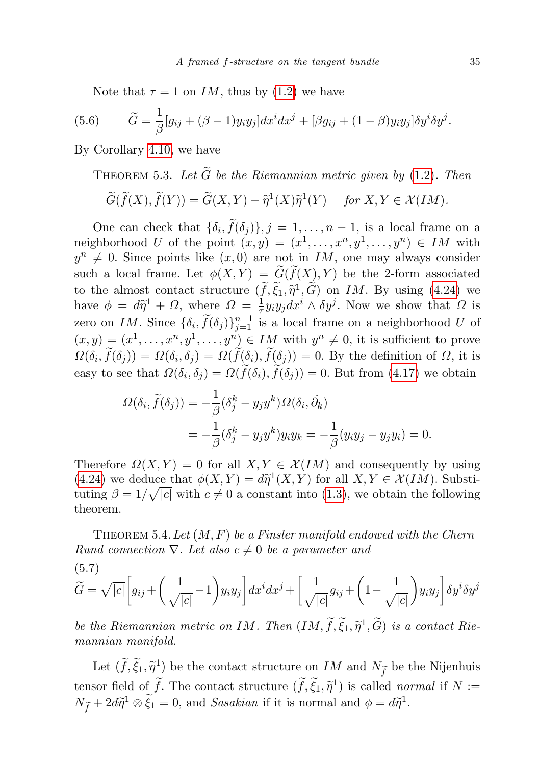Note that  $\tau = 1$  on IM, thus by [\(1.2\)](#page-1-0) we have

(5.6) 
$$
\widetilde{G} = \frac{1}{\beta} [g_{ij} + (\beta - 1) y_i y_j] dx^i dx^j + [\beta g_{ij} + (1 - \beta) y_i y_j] \delta y^i \delta y^j.
$$

By Corollary [4.10,](#page-9-4) we have

THEOREM 5.3. Let  $\tilde{G}$  be the Riemannian metric given by [\(1.2\)](#page-1-0). Then

$$
\widetilde{G}(\widetilde{f}(X),\widetilde{f}(Y))=\widetilde{G}(X,Y)-\widetilde{\eta}^1(X)\widetilde{\eta}^1(Y) \quad \text{ for } X,Y\in \mathcal{X}(IM).
$$

One can check that  $\{\delta_i, f(\delta_j)\}, j = 1, \ldots, n-1$ , is a local frame on a neighborhood U of the point  $(x, y) = (x^1, \ldots, x^n, y^1, \ldots, y^n) \in IM$  with  $y^n \neq 0$ . Since points like  $(x, 0)$  are not in IM, one may always consider such a local frame. Let  $\phi(X, Y) = \widetilde{G}(\widetilde{f}(X), Y)$  be the 2-form associated to the almost contact structure  $(\tilde{f}, \tilde{\xi}_1, \tilde{\eta}^1, \tilde{G})$  on IM. By using [\(4.24\)](#page-10-1) we<br>have  $\phi = d\tilde{\eta}^1 + Q$  where  $Q = \frac{1}{2}u^2u^2dx^i \wedge \delta u^j$ . Now we show that Q is have  $\phi = d\tilde{\eta}^1 + \Omega$ , where  $\Omega = \frac{1}{\tau}$  $\frac{1}{\tau} y_i y_j dx^i \wedge \delta y^j$ . Now we show that  $\Omega$  is zero on IM. Since  $\{\delta_i, \tilde{f}(\delta_j)\}_{j=1}^{n-1}$  is a local frame on a neighborhood U of  $(x, y) = (x^1, \ldots, x^n, y^1, \ldots, y^n) \in IM$  with  $y^n \neq 0$ , it is sufficient to prove  $\Omega(\delta_i, f(\delta_j)) = \Omega(\delta_i, \delta_j) = \Omega(f(\delta_i), f(\delta_j)) = 0$ . By the definition of  $\Omega$ , it is easy to see that  $\Omega(\delta_i, \delta_j) = \Omega(f(\delta_i), f(\delta_j)) = 0$ . But from [\(4.17\)](#page-9-4) we obtain

$$
\Omega(\delta_i, \tilde{f}(\delta_j)) = -\frac{1}{\beta} (\delta_j^k - y_j y^k) \Omega(\delta_i, \dot{\partial}_k)
$$
  
= 
$$
-\frac{1}{\beta} (\delta_j^k - y_j y^k) y_i y_k = -\frac{1}{\beta} (y_i y_j - y_j y_i) = 0.
$$

Therefore  $\Omega(X, Y) = 0$  for all  $X, Y \in \mathcal{X}(IM)$  and consequently by using  $(4.24)$  we deduce that  $\phi(X, Y) = d\tilde{\eta}^1(X, Y)$  for all  $X, Y \in \mathcal{X}(IM)$ . Substituting  $\beta = 1/\sqrt{|g|}$  with  $g \neq 0$  a constant into  $(1, 3)$  we obtain the following tuting  $\beta = 1/\sqrt{|c|}$  with  $c \neq 0$  a constant into [\(1.3\)](#page-1-1), we obtain the following theorem.

<span id="page-12-0"></span>THEOREM 5.4. Let  $(M, F)$  be a Finsler manifold endowed with the Chern– Rund connection  $\nabla$ . Let also  $c \neq 0$  be a parameter and

(5.7)  
\n
$$
\widetilde{G} = \sqrt{|c|} \left[ g_{ij} + \left( \frac{1}{\sqrt{|c|}} - 1 \right) y_i y_j \right] dx^i dx^j + \left[ \frac{1}{\sqrt{|c|}} g_{ij} + \left( 1 - \frac{1}{\sqrt{|c|}} \right) y_i y_j \right] \delta y^i \delta y^j
$$

be the Riemannian metric on IM. Then  $(IM, \tilde{f}, \tilde{\xi}_1, \tilde{\eta}^1, \tilde{G})$  is a contact Riemannian manifold mannian manifold.

Let  $(\tilde{f}, \tilde{\xi}_1, \tilde{\eta}^1)$  be the contact structure on IM and  $N_{\tilde{f}}$  be the Nijenhuis tensor field of  $\tilde{f}$ . The contact structure  $(\tilde{f}, \tilde{\xi}_1, \tilde{\eta}^1)$  is called *normal* if  $N := N + 2J\tilde{\omega}$  $N_{\tilde{f}} + 2d\tilde{\eta}^1 \otimes \tilde{\xi}_1 = 0$ , and Sasakian if it is normal and  $\phi = d\tilde{\eta}^1$ .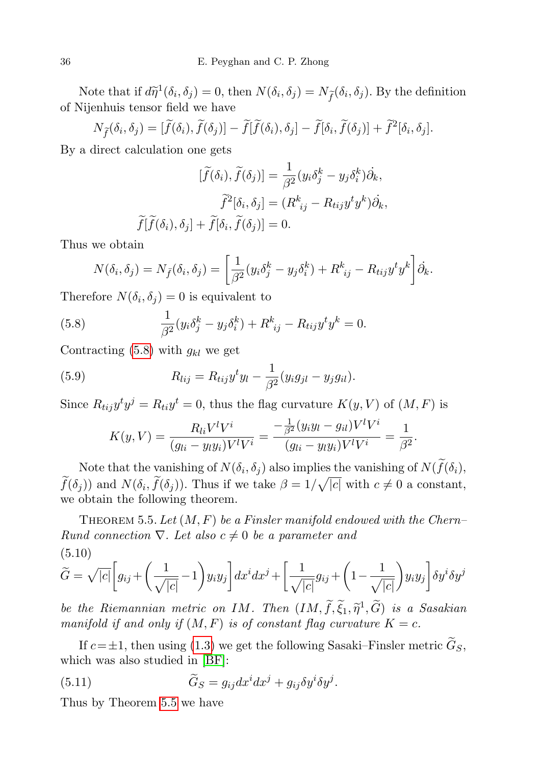Note that if  $d\tilde{\eta}^1(\delta_i, \delta_j) = 0$ , then  $N(\delta_i, \delta_j) = N_{\tilde{f}}(\delta_i, \delta_j)$ . By the definition of Nijenhuis tensor field we have

$$
N_{\widetilde{f}}(\delta_i,\delta_j) = [\widetilde{f}(\delta_i),\widetilde{f}(\delta_j)] - \widetilde{f}[\widetilde{f}(\delta_i),\delta_j] - \widetilde{f}[\delta_i,\widetilde{f}(\delta_j)] + \widetilde{f}^2[\delta_i,\delta_j].
$$

By a direct calculation one gets

$$
[\widetilde{f}(\delta_i), \widetilde{f}(\delta_j)] = \frac{1}{\beta^2} (y_i \delta_j^k - y_j \delta_i^k) \dot{\partial}_k,
$$

$$
\widetilde{f}^2[\delta_i, \delta_j] = (R^k_{ij} - R_{tij} y^t y^k) \dot{\partial}_k,
$$

$$
\widetilde{f}[\widetilde{f}(\delta_i), \delta_j] + \widetilde{f}[\delta_i, \widetilde{f}(\delta_j)] = 0.
$$

Thus we obtain

<span id="page-13-1"></span>
$$
N(\delta_i, \delta_j) = N_{\bar{f}}(\delta_i, \delta_j) = \left[\frac{1}{\beta^2}(y_i \delta_j^k - y_j \delta_i^k) + R_{ij}^k - R_{tij}y^t y^k\right] \delta_k.
$$

Therefore  $N(\delta_i, \delta_j) = 0$  is equivalent to

(5.8) 
$$
\frac{1}{\beta^2} (y_i \delta_j^k - y_j \delta_i^k) + R_{ij}^k - R_{tij} y^t y^k = 0.
$$

Contracting  $(5.8)$  with  $g_{kl}$  we get

(5.9) 
$$
R_{lij} = R_{tij}y^{t}y_{l} - \frac{1}{\beta^{2}}(y_{i}g_{jl} - y_{j}g_{il}).
$$

Since  $R_{tij}y^t y^j = R_{ti}y^t = 0$ , thus the flag curvature  $K(y, V)$  of  $(M, F)$  is

$$
K(y, V) = \frac{R_{li}V^lV^i}{(g_{li} - y_ly_i)V^lV^i} = \frac{-\frac{1}{\beta^2}(y_iy_l - g_{il})V^lV^i}{(g_{li} - y_ly_i)V^lV^i} = \frac{1}{\beta^2}.
$$

Note that the vanishing of  $N(\delta_i, \delta_j)$  also implies the vanishing of  $N(f(\delta_i), \delta_j)$  $f(\delta_j)$  and  $N(\delta_i, \tilde{f}(\delta_j))$ . Thus if we take  $\beta = 1/\sqrt{|c|}$  with  $c \neq 0$  a constant, we obtain the following theorem.

<span id="page-13-0"></span>THEOREM 5.5. Let  $(M, F)$  be a Finsler manifold endowed with the Chern– Rund connection  $\nabla$ . Let also  $c \neq 0$  be a parameter and  $(5.10)$ 

$$
\widetilde{G} = \sqrt{|c|} \left[ g_{ij} + \left( \frac{1}{\sqrt{|c|}} - 1 \right) y_i y_j \right] dx^i dx^j + \left[ \frac{1}{\sqrt{|c|}} g_{ij} + \left( 1 - \frac{1}{\sqrt{|c|}} \right) y_i y_j \right] \delta y^i \delta y^j
$$

be the Riemannian metric on IM. Then  $(IM, \tilde{f}, \tilde{\xi}_1, \tilde{\eta}^1, \tilde{G})$  is a Sasakian<br>menifold if and only if  $(M, F)$  is at constant flag cyrryature  $K - c$ manifold if and only if  $(M, F)$  is of constant flag curvature  $K = c$ .

If  $c=\pm 1$ , then using [\(1.3\)](#page-1-1) we get the following Sasaki–Finsler metric  $\tilde{G}_S$ , which was also studied in [\[BF\]](#page-17-0):

<span id="page-13-2"></span>(5.11) 
$$
\widetilde{G}_S = g_{ij} dx^i dx^j + g_{ij} \delta y^i \delta y^j.
$$

Thus by Theorem [5.5](#page-13-0) we have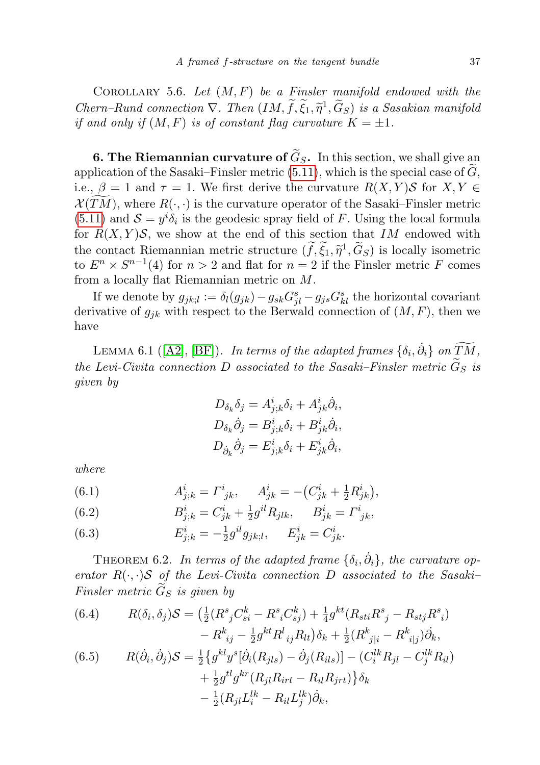COROLLARY 5.6. Let  $(M, F)$  be a Finsler manifold endowed with the Chern–Rund connection  $\nabla$ . Then  $(IM, \tilde{f}, \tilde{\xi}_1, \tilde{\eta}^1, \tilde{G}_S)$  is a Sasakian manifold<br>if and only if  $(M, F)$  is of constant flag curvature  $K = +1$ if and only if  $(M, F)$  is of constant flag curvature  $K = \pm 1$ .

**6. The Riemannian curvature of**  $\widetilde{G}_S$ **.** In this section, we shall give an application of the Sasaki–Finsler metric [\(5.11\)](#page-13-2), which is the special case of  $\tilde{G}$ , i.e.,  $\beta = 1$  and  $\tau = 1$ . We first derive the curvature  $R(X, Y)$ S for  $X, Y \in$  $\mathcal{X}(TM)$ , where  $R(\cdot, \cdot)$  is the curvature operator of the Sasaki–Finsler metric [\(5.11\)](#page-13-2) and  $S = y^{i} \delta_{i}$  is the geodesic spray field of F. Using the local formula for  $R(X, Y)$ S, we show at the end of this section that IM endowed with the contact Riemannian metric structure  $(f, \xi_1, \tilde{\eta}^1, \tilde{G}_S)$  is locally isometric<br>to  $F^n \times S^{n-1}(A)$  for  $n > 2$  and flat for  $n = 2$  if the Finsler metric E comes to  $E^n \times S^{n-1}(4)$  for  $n > 2$  and flat for  $n = 2$  if the Finsler metric F comes from a locally flat Riemannian metric on M.

If we denote by  $g_{jk;l} := \delta_l(g_{jk}) - g_{sk}G^s_{jl} - g_{js}G^s_{kl}$  the horizontal covariant derivative of  $g_{ik}$  with respect to the Berwald connection of  $(M, F)$ , then we have

<span id="page-14-0"></span>LEMMA 6.1 ([\[A2\]](#page-17-10), [\[BF\]](#page-17-0)). In terms of the adapted frames  $\{\delta_i, \dot{\partial}_i\}$  on  $\widetilde{TM}$ , the Levi-Civita connection D associated to the Sasaki–Finsler metric  $\tilde{G}_S$  is given by

$$
D_{\delta_k}\delta_j = A^i_{j;k}\delta_i + A^i_{jk}\dot{\partial}_i,
$$
  
\n
$$
D_{\delta_k}\dot{\partial}_j = B^i_{j;k}\delta_i + B^i_{jk}\dot{\partial}_i,
$$
  
\n
$$
D_{\dot{\partial}_k}\dot{\partial}_j = E^i_{j;k}\delta_i + E^i_{jk}\dot{\partial}_i,
$$

where

(6.1) 
$$
A^i_{j;k} = \Gamma^i_{jk}, \quad A^i_{jk} = -\left(C^i_{jk} + \frac{1}{2}R^i_{jk}\right),
$$

(6.2) 
$$
B_{j;k}^i = C_{jk}^i + \frac{1}{2}g^{il}R_{jlk}, \qquad B_{jk}^i = \Gamma_{jk}^i,
$$

(6.3) 
$$
E_{j,k}^i = -\frac{1}{2}g^{il}g_{jk;l}, \quad E_{jk}^i = C_{jk}^i.
$$

THEOREM 6.2. In terms of the adapted frame  $\{\delta_i, \dot{\partial}_i\}$ , the curvature operator  $R(\cdot, \cdot)$ S of the Levi-Civita connection D associated to the Sasaki-Finsler metric  $\widetilde{G}_S$  is given by

<span id="page-14-1"></span>(6.4) 
$$
R(\delta_i, \delta_j)S = \left(\frac{1}{2}(R^s{}_jC^k_{si} - R^s{}_iC^k_{sj}) + \frac{1}{4}g^{kt}(R_{sti}R^s{}_j - R_{stj}R^s{}_i) - R^k{}_{ij} - \frac{1}{2}g^{kt}R^l{}_{ij}R_{lt}\right)\delta_k + \frac{1}{2}(R^k{}_{j|i} - R^k{}_{i|j})\dot{\partial}_k,
$$

<span id="page-14-2"></span>(6.5) 
$$
R(\dot{\partial}_i, \dot{\partial}_j)S = \frac{1}{2} \{ g^{kl} y^s [\dot{\partial}_i (R_{jls}) - \dot{\partial}_j (R_{ils})] - (C_i^{lk} R_{jl} - C_j^{lk} R_{il}) + \frac{1}{2} g^{tl} g^{kr} (R_{jl} R_{irt} - R_{il} R_{jrt}) \} \delta_k - \frac{1}{2} (R_{jl} L_i^{lk} - R_{il} L_j^{lk}) \dot{\partial}_k,
$$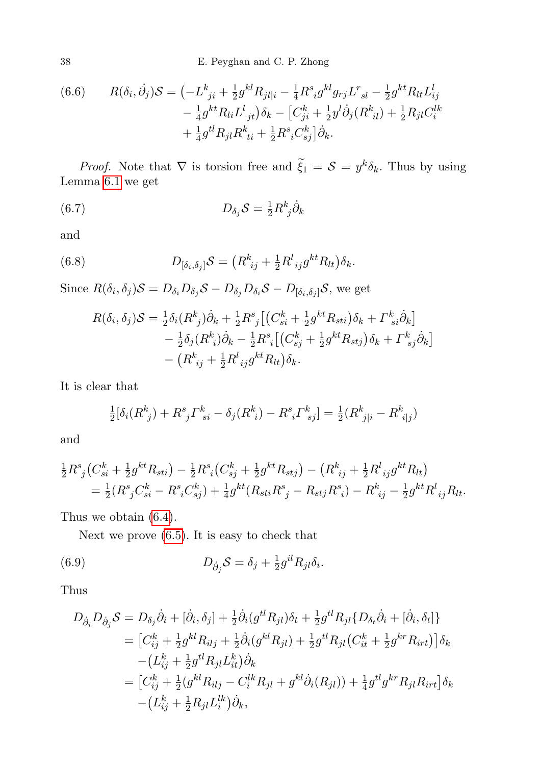38 E. Peyghan and C. P. Zhong

<span id="page-15-0"></span>(6.6) 
$$
R(\delta_i, \dot{\partial}_j)S = \left(-L_{ji}^k + \frac{1}{2}g^{kl}R_{jl|i} - \frac{1}{4}R_{ij}^s g^{kl}g_{rj}L_{sl}^r - \frac{1}{2}g^{kt}R_{lt}L_{ij}^l - \frac{1}{4}g^{kt}R_{li}L_{ij}^l\right) \delta_k - \left[C_{ji}^k + \frac{1}{2}y^l\dot{\partial}_j(R_{il}^k) + \frac{1}{2}R_{jl}C_i^{lk} + \frac{1}{4}g^{tl}R_{jl}R_{ti}^k + \frac{1}{2}R_{ij}^sC_{sj}^k\right]\dot{\partial}_k.
$$

*Proof.* Note that  $\nabla$  is torsion free and  $\xi_1 = S = y^k \delta_k$ . Thus by using Lemma [6.1](#page-14-0) we get

<span id="page-15-1"></span>(6.7) 
$$
D_{\delta_j} S = \frac{1}{2} R^k_{\ j} \dot{\partial}_k
$$

and

(6.8) 
$$
D_{\left[\delta_i,\delta_j\right]}S = \left(R^k_{\ ij} + \frac{1}{2}R^l_{\ ij}g^{kt}R_{lt}\right)\delta_k.
$$

Since  $R(\delta_i, \delta_j)S = D_{\delta_i}D_{\delta_j}S - D_{\delta_j}D_{\delta_i}S - D_{[\delta_i, \delta_j]}S$ , we get

$$
R(\delta_i, \delta_j)S = \frac{1}{2}\delta_i(R^k_j)\dot{\partial}_k + \frac{1}{2}R^s_j[(C^k_{si} + \frac{1}{2}g^{kt}R_{sti})\delta_k + \Gamma^k_{si}\dot{\partial}_k] - \frac{1}{2}\delta_j(R^k_i)\dot{\partial}_k - \frac{1}{2}R^s_i[(C^k_{sj} + \frac{1}{2}g^{kt}R_{stj})\delta_k + \Gamma^k_{sj}\dot{\partial}_k] - (R^k_{ij} + \frac{1}{2}R^l_{ij}g^{kt}R_{lt})\delta_k.
$$

It is clear that

$$
\frac{1}{2}[\delta_i(R^k_{\ j}) + R^s_{\ j} \Gamma^k_{\ s i} - \delta_j(R^k_{\ i}) - R^s_{\ i} \Gamma^k_{\ s j}] = \frac{1}{2}(R^k_{\ j|i} - R^k_{\ i|j})
$$

and

$$
\frac{1}{2}R^s_j(C_{si}^k + \frac{1}{2}g^{kt}R_{sti}) - \frac{1}{2}R^s_i(C_{sj}^k + \frac{1}{2}g^{kt}R_{stj}) - (R^k_{ij} + \frac{1}{2}R^l_{ij}g^{kt}R_{lt})
$$
  
=  $\frac{1}{2}(R^s_jC_{si}^k - R^s_iC_{sj}^k) + \frac{1}{4}g^{kt}(R_{sti}R^s_j - R_{stj}R^s_i) - R^k_{ij} - \frac{1}{2}g^{kt}R^l_{ij}R_{lt}.$ 

Thus we obtain [\(6.4\)](#page-14-1).

<span id="page-15-2"></span>Next we prove [\(6.5\)](#page-14-2). It is easy to check that

(6.9) 
$$
D_{\dot{\partial}_j} S = \delta_j + \frac{1}{2} g^{il} R_{jl} \delta_i.
$$

Thus

$$
D_{\dot{\partial}_{i}}D_{\dot{\partial}_{j}}\mathcal{S} = D_{\delta_{j}}\dot{\partial}_{i} + [\dot{\partial}_{i}, \delta_{j}] + \frac{1}{2}\dot{\partial}_{i}(g^{tl}R_{jl})\delta_{t} + \frac{1}{2}g^{tl}R_{jl}\{D_{\delta_{t}}\dot{\partial}_{i} + [\dot{\partial}_{i}, \delta_{t}]\}
$$
  
\n
$$
= [C_{ij}^{k} + \frac{1}{2}g^{kl}R_{ilj} + \frac{1}{2}\dot{\partial}_{i}(g^{kl}R_{jl}) + \frac{1}{2}g^{tl}R_{jl}(C_{it}^{k} + \frac{1}{2}g^{kr}R_{irt})]\delta_{k}
$$
  
\n
$$
- (L_{ij}^{k} + \frac{1}{2}g^{tl}R_{jl}L_{it}^{k})\dot{\partial}_{k}
$$
  
\n
$$
= [C_{ij}^{k} + \frac{1}{2}(g^{kl}R_{ilj} - C_{i}^{lk}R_{jl} + g^{kl}\dot{\partial}_{i}(R_{jl})) + \frac{1}{4}g^{tl}g^{kr}R_{jl}R_{irt}]\delta_{k}
$$
  
\n
$$
- (L_{ij}^{k} + \frac{1}{2}R_{jl}L_{i}^{lk})\dot{\partial}_{k},
$$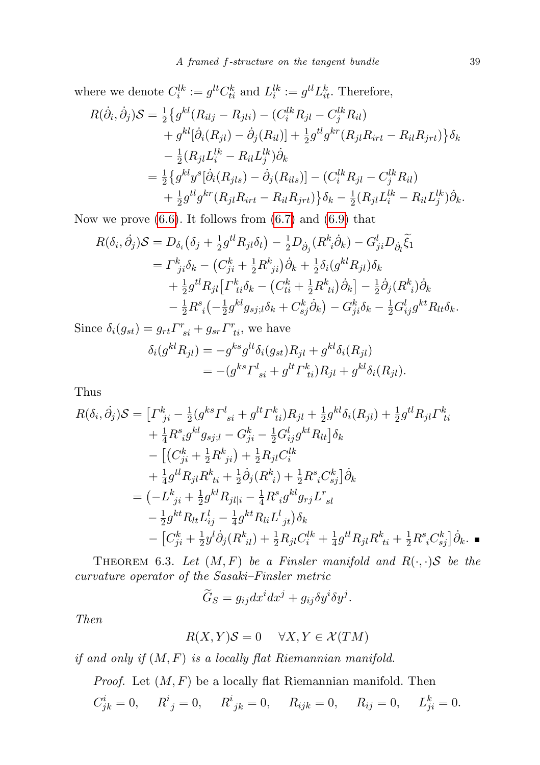where we denote  $C_i^{lk} := g^{lt} C_{ti}^k$  and  $L_i^{lk} := g^{tl} L_{it}^k$ . Therefore,

$$
R(\dot{\partial}_{i}, \dot{\partial}_{j})S = \frac{1}{2} \{ g^{kl}(R_{ilj} - R_{jli}) - (C_{i}^{lk} R_{jl} - C_{j}^{lk} R_{il})
$$
  
+  $g^{kl}[\dot{\partial}_{i}(R_{jl}) - \dot{\partial}_{j}(R_{il})] + \frac{1}{2} g^{tl} g^{kr}(R_{jl} R_{irt} - R_{il} R_{jrt}) \} \delta_{k}$   
-  $\frac{1}{2} (R_{jl} L_{i}^{lk} - R_{il} L_{j}^{lk}) \dot{\partial}_{k}$   
=  $\frac{1}{2} \{ g^{kl} g^{s} [\dot{\partial}_{i}(R_{jls}) - \dot{\partial}_{j}(R_{ils})] - (C_{i}^{lk} R_{jl} - C_{j}^{lk} R_{il})$   
+  $\frac{1}{2} g^{tl} g^{kr}(R_{jl} R_{irt} - R_{il} R_{jrt}) \} \delta_{k} - \frac{1}{2} (R_{jl} L_{i}^{lk} - R_{il} L_{j}^{lk}) \dot{\partial}_{k}.$ 

Now we prove  $(6.6)$ . It follows from  $(6.7)$  and  $(6.9)$  that

$$
R(\delta_i, \dot{\partial}_j) S = D_{\delta_i} (\delta_j + \frac{1}{2} g^{tl} R_{jl} \delta_t) - \frac{1}{2} D_{\dot{\partial}_j} (R^k_i \dot{\partial}_k) - G^l_{ji} D_{\dot{\partial}_l} \tilde{\xi}_1 = \Gamma^k_{ji} \delta_k - (C^k_{ji} + \frac{1}{2} R^k_{ji}) \dot{\partial}_k + \frac{1}{2} \delta_i (g^{kl} R_{jl}) \delta_k + \frac{1}{2} g^{tl} R_{jl} [\Gamma^k_{ti} \delta_k - (C^k_{ti} + \frac{1}{2} R^k_{ti}) \dot{\partial}_k] - \frac{1}{2} \dot{\partial}_j (R^k_i) \dot{\partial}_k - \frac{1}{2} R^s_i \left( -\frac{1}{2} g^{kl} g_{sj;l} \delta_k + C^k_{sj} \dot{\partial}_k \right) - G^k_{ji} \delta_k - \frac{1}{2} G^l_{ij} g^{kt} R_{lt} \delta_k.
$$

Since  $\delta_i(g_{st}) = g_{rt}\Gamma^r_{si} + g_{sr}\Gamma^r_{ti}$ , we have

$$
\delta_i(g^{kl}R_{jl}) = -g^{ks}g^{lt}\delta_i(g_{st})R_{jl} + g^{kl}\delta_i(R_{jl}) \n= -(g^{ks}\Gamma^l_{si} + g^{lt}\Gamma^k_{ti})R_{jl} + g^{kl}\delta_i(R_{jl}).
$$

Thus

$$
R(\delta_i, \dot{\partial}_j)S = \left[ \Gamma^k_{\ j i} - \frac{1}{2} (g^{ks} \Gamma^l_{\ s i} + g^{lt} \Gamma^k_{\ t i}) R_{jl} + \frac{1}{2} g^{kl} \delta_i (R_{jl}) + \frac{1}{2} g^{tl} R_{jl} \Gamma^k_{\ t i} \right. \\ \left. + \frac{1}{4} R^s_{\ i} g^{kl} g_{sj;l} - G^k_{ji} - \frac{1}{2} G^l_{ij} g^{kt} R_{lt} \right] \delta_k \\ \left. - \left[ (C^k_{ji} + \frac{1}{2} R^k_{\ j i}) + \frac{1}{2} R_{jl} C^{lk}_{i} \right. \\ \left. + \frac{1}{4} g^{tl} R_{jl} R^k_{\ t i} + \frac{1}{2} \dot{\partial}_j (R^k_{\ i}) + \frac{1}{2} R^s_{\ i} C^k_{sj} \right] \dot{\partial}_k \\ \left. = \left( -L^k_{\ j i} + \frac{1}{2} g^{kl} R_{jl|i} - \frac{1}{4} R^s_{\ i} g^{kl} g_{rj} L^r_{\ sl} \right. \\ \left. - \frac{1}{2} g^{kt} R_{lt} L^l_{ij} - \frac{1}{4} g^{kt} R_{li} L^l_{\ j t} \right) \delta_k \\ \left. - \left[ C^k_{ji} + \frac{1}{2} g^{lj} \dot{\partial}_j (R^k_{\ ii}) + \frac{1}{2} R_{jl} C^{lk}_i + \frac{1}{4} g^{tl} R_{jl} R^k_{\ t i} + \frac{1}{2} R^s_i C^k_{sj} \right] \dot{\partial}_k .
$$

<span id="page-16-0"></span>THEOREM 6.3. Let  $(M, F)$  be a Finsler manifold and  $R(\cdot, \cdot)$ S be the curvature operator of the Sasaki–Finsler metric

$$
\widetilde{G}_S = g_{ij} dx^i dx^j + g_{ij} \delta y^i \delta y^j.
$$

Then

$$
R(X,Y)\mathcal{S} = 0 \quad \forall X, Y \in \mathcal{X}(TM)
$$

if and only if  $(M, F)$  is a locally flat Riemannian manifold.

*Proof.* Let  $(M, F)$  be a locally flat Riemannian manifold. Then  $C^i_{jk} = 0,$   $R^i_{\ j} = 0,$   $R^i_{\ jk} = 0,$   $R_{ijk} = 0,$   $R_{ij} = 0,$   $L^k_{ji} = 0.$  ä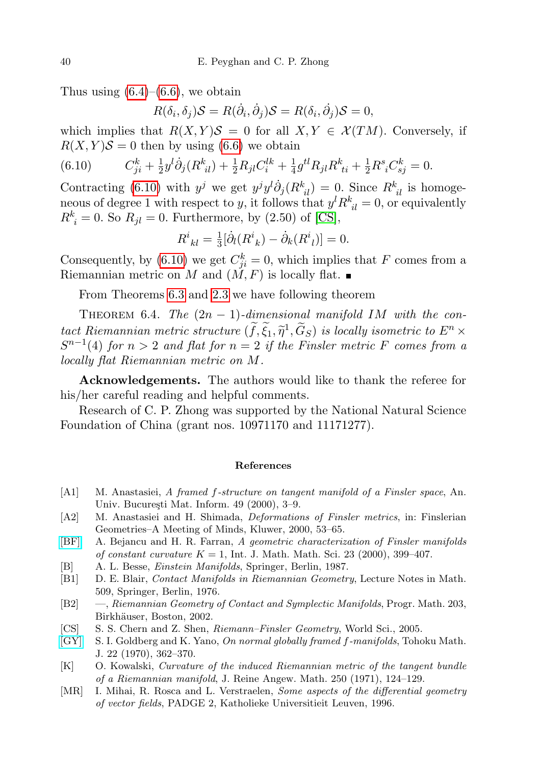Thus using  $(6.4)$ – $(6.6)$ , we obtain

<span id="page-17-11"></span>
$$
R(\delta_i, \delta_j)S = R(\dot{\partial}_i, \dot{\partial}_j)S = R(\delta_i, \dot{\partial}_j)S = 0,
$$

which implies that  $R(X, Y)S = 0$  for all  $X, Y \in \mathcal{X}(TM)$ . Conversely, if  $R(X, Y)S = 0$  then by using [\(6.6\)](#page-15-0) we obtain

(6.10) 
$$
C_{ji}^k + \frac{1}{2}y^l \dot{\partial}_j (R_{il}^k) + \frac{1}{2} R_{jl} C_i^{lk} + \frac{1}{4} g^{tl} R_{jl} R_{ti}^k + \frac{1}{2} R_{il}^s C_{sj}^k = 0.
$$

Contracting [\(6.10\)](#page-17-11) with  $y^j$  we get  $y^j y^l \dot{\partial}_j (R^k_{il}) = 0$ . Since  $R^k_{il}$  is homogeneous of degree 1 with respect to y, it follows that  $y^l R^k_{\ i l} = 0$ , or equivalently  $R_i^k = 0$ . So  $R_{jl} = 0$ . Furthermore, by  $(2.50)$  of [\[CS\]](#page-17-5),

$$
R^i_{\;kl} = \frac{1}{3} [\dot{\partial}_l (R^i_{\;k}) - \dot{\partial}_k (R^i_{\;l})] = 0.
$$

Consequently, by [\(6.10\)](#page-17-11) we get  $C_{ji}^k = 0$ , which implies that F comes from a Riemannian metric on M and  $(\check{M}, F)$  is locally flat.

From Theorems [6.3](#page-16-0) and [2.3](#page-5-0) we have following theorem

<span id="page-17-4"></span>THEOREM 6.4. The  $(2n - 1)$ -dimensional manifold IM with the contact Riemannian metric structure  $(f, \xi_1, \tilde{\eta}^1, \tilde{G}_S)$  is locally isometric to  $E^n \times S^{n-1}(A)$  for  $n > 2$  and flat for  $n = 2$  if the Eineler metric E comes from a  $S^{n-1}(4)$  for  $n > 2$  and flat for  $n = 2$  if the Finsler metric F comes from a locally flat Riemannian metric on M.

Acknowledgements. The authors would like to thank the referee for his/her careful reading and helpful comments.

Research of C. P. Zhong was supported by the National Natural Science Foundation of China (grant nos. 10971170 and 11171277).

## References

- <span id="page-17-3"></span>[A1] M. Anastasiei, A framed f-structure on tangent manifold of a Finsler space, An. Univ. București Mat. Inform. 49 (2000), 3-9.
- <span id="page-17-10"></span>[A2] M. Anastasiei and H. Shimada, Deformations of Finsler metrics, in: Finslerian Geometries–A Meeting of Minds, Kluwer, 2000, 53–65.
- <span id="page-17-0"></span>[\[BF\]](http://dx.doi.org/10.1155/S0161171200002179) A. Bejancu and H. R. Farran, A geometric characterization of Finsler manifolds of constant curvature  $K = 1$ , Int. J. Math. Math. Sci. 23 (2000), 399-407.
- <span id="page-17-2"></span>[B] A. L. Besse, Einstein Manifolds, Springer, Berlin, 1987.
- <span id="page-17-8"></span>[B1] D. E. Blair, Contact Manifolds in Riemannian Geometry, Lecture Notes in Math. 509, Springer, Berlin, 1976.
- <span id="page-17-9"></span>[B2] —, Riemannian Geometry of Contact and Symplectic Manifolds, Progr. Math. 203, Birkhäuser, Boston, 2002.
- <span id="page-17-5"></span>[CS] S. S. Chern and Z. Shen, Riemann–Finsler Geometry, World Sci., 2005.
- <span id="page-17-6"></span>[\[GY\]](http://dx.doi.org/10.2748/tmj/1178242763) S. I. Goldberg and K. Yano, On normal globally framed f-manifolds, Tohoku Math. J. 22 (1970), 362–370.
- <span id="page-17-1"></span>[K] O. Kowalski, Curvature of the induced Riemannian metric of the tangent bundle of a Riemannian manifold, J. Reine Angew. Math. 250 (1971), 124–129.
- <span id="page-17-7"></span>[MR] I. Mihai, R. Rosca and L. Verstraelen, Some aspects of the differential geometry of vector fields, PADGE 2, Katholieke Universitieit Leuven, 1996.